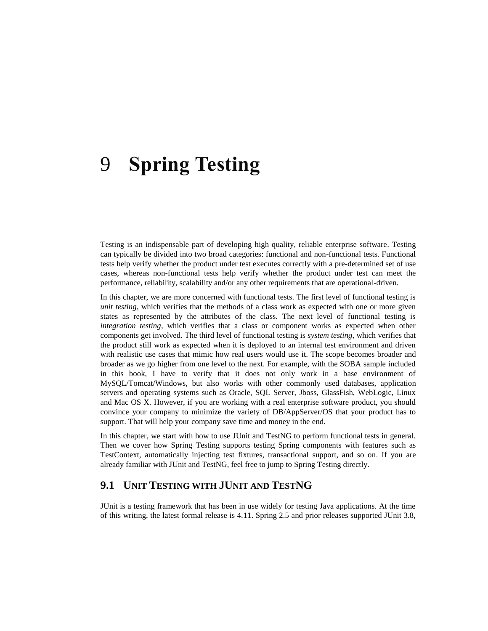# 9 **Spring Testing**

Testing is an indispensable part of developing high quality, reliable enterprise software. Testing can typically be divided into two broad categories: functional and non-functional tests. Functional tests help verify whether the product under test executes correctly with a pre-determined set of use cases, whereas non-functional tests help verify whether the product under test can meet the performance, reliability, scalability and/or any other requirements that are operational-driven.

In this chapter, we are more concerned with functional tests. The first level of functional testing is *unit testing*, which verifies that the methods of a class work as expected with one or more given states as represented by the attributes of the class. The next level of functional testing is *integration testing*, which verifies that a class or component works as expected when other components get involved. The third level of functional testing is *system testing*, which verifies that the product still work as expected when it is deployed to an internal test environment and driven with realistic use cases that mimic how real users would use it. The scope becomes broader and broader as we go higher from one level to the next. For example, with the SOBA sample included in this book, I have to verify that it does not only work in a base environment of MySQL/Tomcat/Windows, but also works with other commonly used databases, application servers and operating systems such as Oracle, SQL Server, Jboss, GlassFish, WebLogic, Linux and Mac OS X. However, if you are working with a real enterprise software product, you should convince your company to minimize the variety of DB/AppServer/OS that your product has to support. That will help your company save time and money in the end.

In this chapter, we start with how to use JUnit and TestNG to perform functional tests in general. Then we cover how Spring Testing supports testing Spring components with features such as TestContext, automatically injecting test fixtures, transactional support, and so on. If you are already familiar with JUnit and TestNG, feel free to jump to Spring Testing directly.

# **9.1 UNIT TESTING WITH JUNIT AND TESTNG**

JUnit is a testing framework that has been in use widely for testing Java applications. At the time of this writing, the latest formal release is 4.11. Spring 2.5 and prior releases supported JUnit 3.8,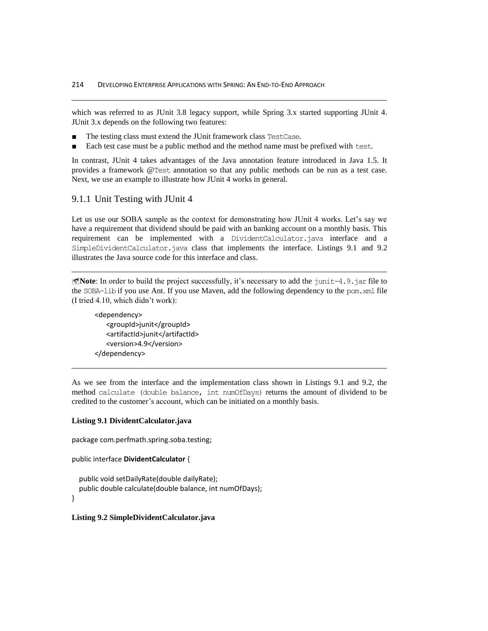which was referred to as JUnit 3.8 legacy support, while Spring 3.x started supporting JUnit 4. JUnit 3.x depends on the following two features:

- The testing class must extend the JUnit framework class TestCase.
- Each test case must be a public method and the method name must be prefixed with test.

In contrast, JUnit 4 takes advantages of the Java annotation feature introduced in Java 1.5. It provides a framework @Test annotation so that any public methods can be run as a test case. Next, we use an example to illustrate how JUnit 4 works in general.

## 9.1.1 Unit Testing with JUnit 4

Let us use our SOBA sample as the context for demonstrating how JUnit 4 works. Let's say we have a requirement that dividend should be paid with an banking account on a monthly basis. This requirement can be implemented with a DividentCalculator.java interface and a SimpleDividentCalculator.java class that implements the interface. Listings 9.1 and 9.2 illustrates the Java source code for this interface and class.

**Note:** In order to build the project successfully, it's necessary to add the junit-4.9. jar file to the SOBA-lib if you use Ant. If you use Maven, add the following dependency to the pom.xml file (I tried 4.10, which didn't work):

<dependency> <groupId>junit</groupId> <artifactId>junit</artifactId> <version>4.9</version> </dependency>

As we see from the interface and the implementation class shown in Listings 9.1 and 9.2, the method calculate (double balance, int numOfDays) returns the amount of dividend to be credited to the customer's account, which can be initiated on a monthly basis.

#### **Listing 9.1 DividentCalculator.java**

package com.perfmath.spring.soba.testing;

```
public interface DividentCalculator {
```

```
 public void setDailyRate(double dailyRate);
   public double calculate(double balance, int numOfDays);
}
```
#### **Listing 9.2 SimpleDividentCalculator.java**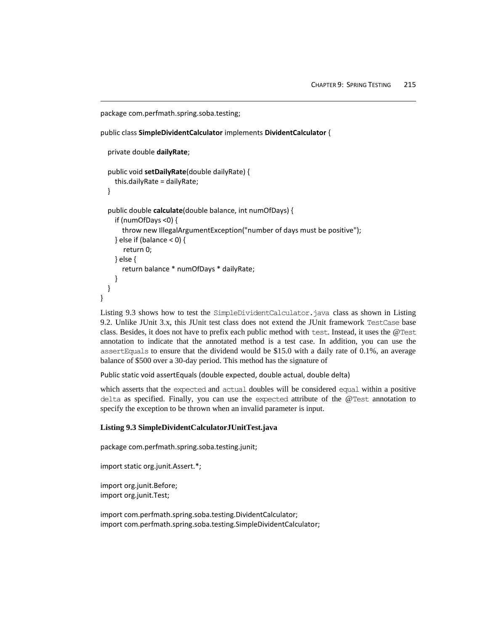package com.perfmath.spring.soba.testing;

```
public class SimpleDividentCalculator implements DividentCalculator {
```

```
 private double dailyRate;
   public void setDailyRate(double dailyRate) {
     this.dailyRate = dailyRate;
   }
   public double calculate(double balance, int numOfDays) {
      if (numOfDays <0) {
        throw new IllegalArgumentException("number of days must be positive");
     } else if (balance < 0) {
        return 0;
     } else {
        return balance * numOfDays * dailyRate;
     }
   }
}
```
Listing 9.3 shows how to test the SimpleDividentCalculator.java class as shown in Listing 9.2. Unlike JUnit 3.x, this JUnit test class does not extend the JUnit framework TestCase base class. Besides, it does not have to prefix each public method with test. Instead, it uses the @Test annotation to indicate that the annotated method is a test case. In addition, you can use the assertEquals to ensure that the dividend would be \$15.0 with a daily rate of 0.1%, an average balance of \$500 over a 30-day period. This method has the signature of

Public static void assertEquals (double expected, double actual, double delta)

which asserts that the expected and actual doubles will be considered equal within a positive delta as specified. Finally, you can use the expected attribute of the @Test annotation to specify the exception to be thrown when an invalid parameter is input.

#### **Listing 9.3 SimpleDividentCalculatorJUnitTest.java**

package com.perfmath.spring.soba.testing.junit;

import static org.junit.Assert.\*;

import org.junit.Before; import org.junit.Test;

import com.perfmath.spring.soba.testing.DividentCalculator; import com.perfmath.spring.soba.testing.SimpleDividentCalculator;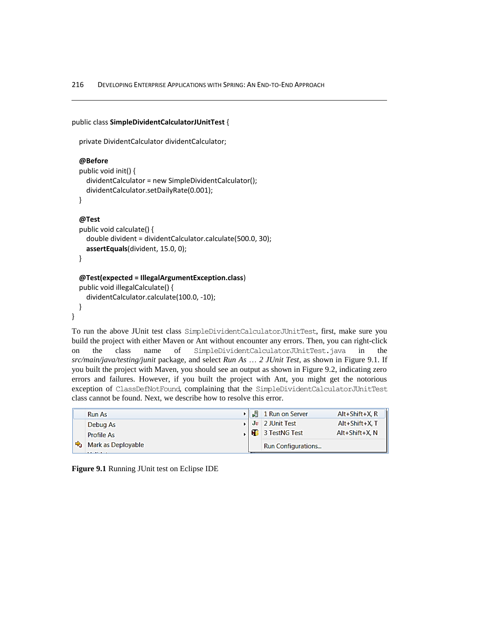```
public class SimpleDividentCalculatorJUnitTest {
```
private DividentCalculator dividentCalculator;

## **@Before**

```
 public void init() {
   dividentCalculator = new SimpleDividentCalculator();
   dividentCalculator.setDailyRate(0.001);
 }
```
## **@Test**

```
 public void calculate() {
   double divident = dividentCalculator.calculate(500.0, 30);
   assertEquals(divident, 15.0, 0);
 }
```
#### **@Test(expected = IllegalArgumentException.class**)

```
 public void illegalCalculate() {
      dividentCalculator.calculate(100.0, -10);
   }
}
```
To run the above JUnit test class SimpleDividentCalculatorJUnitTest, first, make sure you build the project with either Maven or Ant without encounter any errors. Then, you can right-click on the class name of SimpleDividentCalculatorJUnitTest.java in the *src/main/java/testing/junit* package, and select *Run As* … *2 JUnit Test*, as shown in Figure 9.1. If you built the project with Maven, you should see an output as shown in Figure 9.2, indicating zero errors and failures. However, if you built the project with Ant, you might get the notorious exception of ClassDefNotFound, complaining that the SimpleDividentCalculatorJUnitTest class cannot be found. Next, we describe how to resolve this error.

|     | <b>Run As</b>           |  | $\triangleright$ $\begin{array}{ c c }$ 1 Run on Server | $Alt+Shift+X$ , R |
|-----|-------------------------|--|---------------------------------------------------------|-------------------|
|     | Debug As                |  | $\vert$ Ju 2 JUnit Test                                 | Alt+Shift+X, T    |
|     | Profile As              |  | $\sqrt{13}$ 3 TestNG Test                               | Alt+Shift+X, N    |
| <≿⊪ | Mark as Deployable<br>. |  | Run Configurations                                      |                   |

|  | Figure 9.1 Running JUnit test on Eclipse IDE |  |  |
|--|----------------------------------------------|--|--|
|  |                                              |  |  |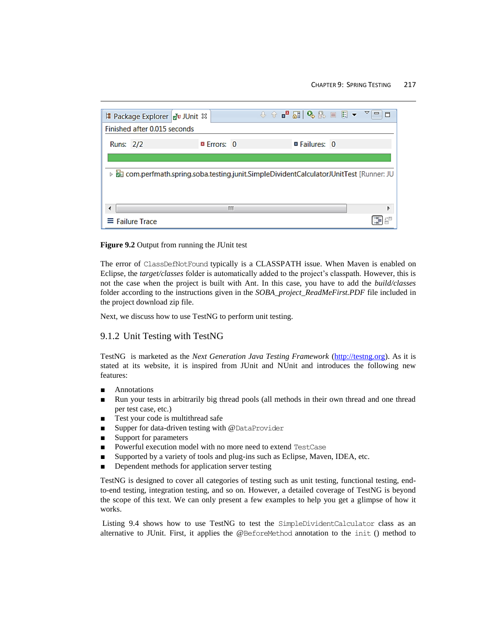|                                                                                                   | 博 Package Explorer dv JUnit ⊠ |                   |  | $\theta$ $\theta$ $\mathbf{a}^{\mathbf{B}}$ and $\mathbf{Q}$ $\mathbf{R}$ in Eq. $\theta$ |  | ▽<br>$\equiv$<br>日 |  |
|---------------------------------------------------------------------------------------------------|-------------------------------|-------------------|--|-------------------------------------------------------------------------------------------|--|--------------------|--|
| Finished after 0.015 seconds                                                                      |                               |                   |  |                                                                                           |  |                    |  |
| <b>Runs: 2/2</b>                                                                                  |                               | <b>Exercis: 0</b> |  | ■ Failures: 0                                                                             |  |                    |  |
|                                                                                                   |                               |                   |  |                                                                                           |  |                    |  |
| http://ecom.perfmath.spring.soba.testing.junit.SimpleDividentCalculatorJUnitTest [Runner: JU<br>Þ |                               |                   |  |                                                                                           |  |                    |  |
|                                                                                                   |                               |                   |  |                                                                                           |  |                    |  |
| Þ<br>Ш                                                                                            |                               |                   |  |                                                                                           |  |                    |  |
|                                                                                                   | $\equiv$ Failure Trace        |                   |  |                                                                                           |  |                    |  |

**Figure 9.2** Output from running the JUnit test

The error of ClassDefNotFound typically is a CLASSPATH issue. When Maven is enabled on Eclipse, the *target/classes* folder is automatically added to the project's classpath. However, this is not the case when the project is built with Ant. In this case, you have to add the *build/classes* folder according to the instructions given in the *SOBA\_project\_ReadMeFirst.PDF* file included in the project download zip file.

Next, we discuss how to use TestNG to perform unit testing.

## 9.1.2 Unit Testing with TestNG

TestNG is marketed as the *Next Generation Java Testing Framework* [\(http://testng.org\)](http://testng.org/). As it is stated at its website, it is inspired from JUnit and NUnit and introduces the following new features:

- Annotations
- Run your tests in arbitrarily big thread pools (all methods in their own thread and one thread per test case, etc.)
- Test your code is multithread safe
- Supper for data-driven testing with @DataProvider
- Support for parameters
- Powerful execution model with no more need to extend TestCase
- Supported by a variety of tools and plug-ins such as Eclipse, Maven, IDEA, etc.
- Dependent methods for application server testing

TestNG is designed to cover all categories of testing such as unit testing, functional testing, endto-end testing, integration testing, and so on. However, a detailed coverage of TestNG is beyond the scope of this text. We can only present a few examples to help you get a glimpse of how it works.

Listing 9.4 shows how to use TestNG to test the SimpleDividentCalculator class as an alternative to JUnit. First, it applies the @BeforeMethod annotation to the init () method to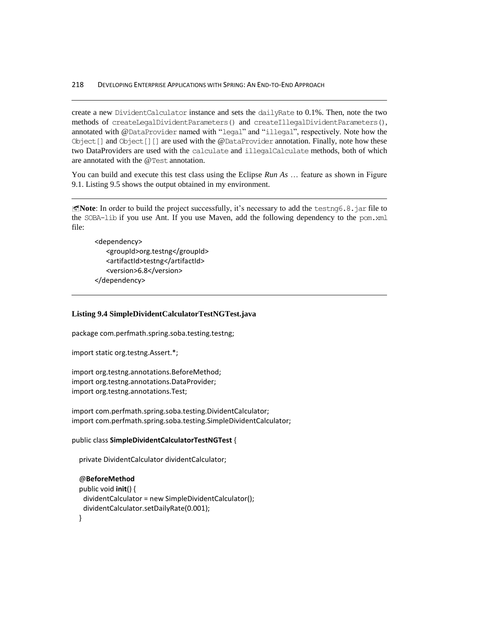create a new DividentCalculator instance and sets the dailyRate to 0.1%. Then, note the two methods of createLegalDividentParameters() and createIllegalDividentParameters(), annotated with @DataProvider named with "legal" and "illegal", respectively. Note how the Object[] and Object[][] are used with the @DataProvider annotation. Finally, note how these two DataProviders are used with the calculate and illegalCalculate methods, both of which are annotated with the @Test annotation.

You can build and execute this test class using the Eclipse *Run As* … feature as shown in Figure 9.1. Listing 9.5 shows the output obtained in my environment.

**Note:** In order to build the project successfully, it's necessary to add the testng6.8.jar file to the SOBA-lib if you use Ant. If you use Maven, add the following dependency to the pom.xml file:

<dependency> <groupId>org.testng</groupId> <artifactId>testng</artifactId> <version>6.8</version> </dependency>

#### **Listing 9.4 SimpleDividentCalculatorTestNGTest.java**

package com.perfmath.spring.soba.testing.testng;

```
import static org.testng.Assert.*;
```
import org.testng.annotations.BeforeMethod; import org.testng.annotations.DataProvider; import org.testng.annotations.Test;

import com.perfmath.spring.soba.testing.DividentCalculator; import com.perfmath.spring.soba.testing.SimpleDividentCalculator;

#### public class **SimpleDividentCalculatorTestNGTest** {

private DividentCalculator dividentCalculator;

## @**BeforeMethod**

```
 public void init() {
  dividentCalculator = new SimpleDividentCalculator();
  dividentCalculator.setDailyRate(0.001);
 }
```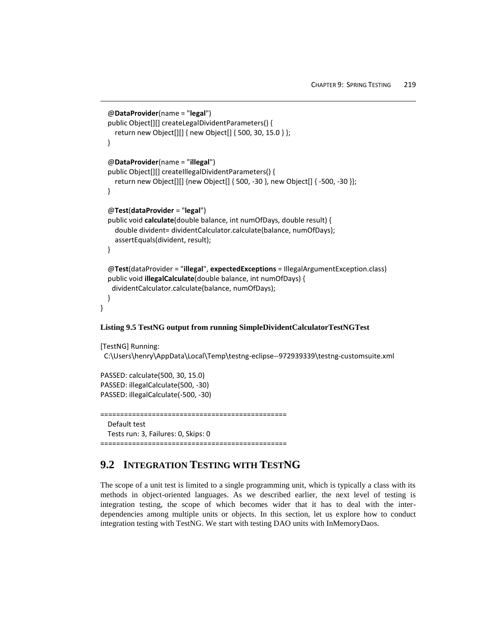```
 @DataProvider(name = "legal")
 public Object[][] createLegalDividentParameters() {
   return new Object[][] { new Object[] { 500, 30, 15.0 } };
 }
 @DataProvider(name = "illegal")
 public Object[][] createIllegalDividentParameters() {
   return new Object[][] {new Object[] { 500, -30 }, new Object[] { -500, -30 }};
 }
 @Test(dataProvider = "legal")
 public void calculate(double balance, int numOfDays, double result) {
   double divident= dividentCalculator.calculate(balance, numOfDays);
   assertEquals(divident, result);
 }
 @Test(dataProvider = "illegal", expectedExceptions = IllegalArgumentException.class)
 public void illegalCalculate(double balance, int numOfDays) {
  dividentCalculator.calculate(balance, numOfDays);
 }
```
## **Listing 9.5 TestNG output from running SimpleDividentCalculatorTestNGTest**

[TestNG] Running: C:\Users\henry\AppData\Local\Temp\testng-eclipse--972939339\testng-customsuite.xml PASSED: calculate(500, 30, 15.0) PASSED: illegalCalculate(500, -30) PASSED: illegalCalculate(-500, -30) =============================================== Default test Tests run: 3, Failures: 0, Skips: 0 ===============================================

# **9.2 INTEGRATION TESTING WITH TESTNG**

}

The scope of a unit test is limited to a single programming unit, which is typically a class with its methods in object-oriented languages. As we described earlier, the next level of testing is integration testing, the scope of which becomes wider that it has to deal with the interdependencies among multiple units or objects. In this section, let us explore how to conduct integration testing with TestNG. We start with testing DAO units with InMemoryDaos.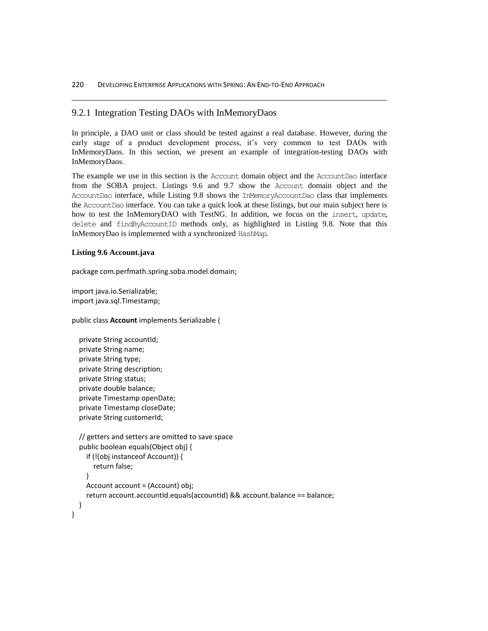## 9.2.1 Integration Testing DAOs with InMemoryDaos

In principle, a DAO unit or class should be tested against a real database. However, during the early stage of a product development process, it's very common to test DAOs with InMemoryDaos. In this section, we present an example of integration-testing DAOs with InMemoryDaos.

The example we use in this section is the Account domain object and the AccountDao interface from the SOBA project. Listings 9.6 and 9.7 show the Account domain object and the AccountDao interface, while Listing 9.8 shows the InMemoryAccountDao class that implements the AccountDao interface. You can take a quick look at these listings, but our main subject here is how to test the InMemoryDAO with TestNG. In addition, we focus on the insert, update, delete and findByAccountID methods only, as highlighted in Listing 9.8. Note that this InMemoryDao is implemented with a synchronized HashMap.

#### **Listing 9.6 Account.java**

package com.perfmath.spring.soba.model.domain;

import java.io.Serializable; import java.sql.Timestamp;

public class **Account** implements Serializable {

```
 private String accountId;
 private String name;
 private String type;
 private String description;
 private String status;
 private double balance;
 private Timestamp openDate;
 private Timestamp closeDate;
 private String customerId;
```
}

```
 // getters and setters are omitted to save space
 public boolean equals(Object obj) {
   if (!(obj instanceof Account)) {
     return false;
   }
   Account account = (Account) obj;
   return account.accountId.equals(accountId) && account.balance == balance;
 }
```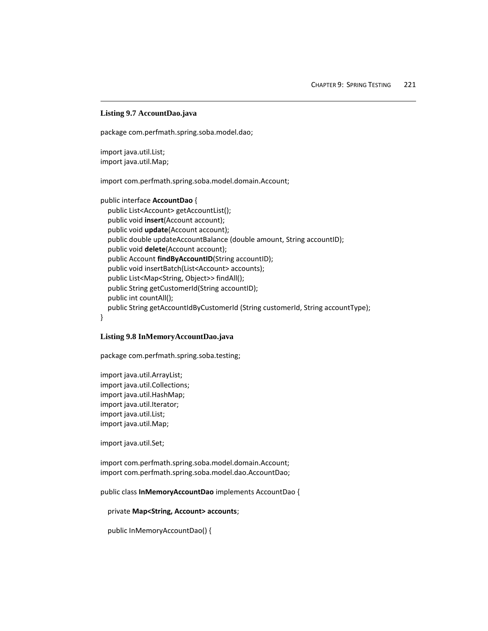#### **Listing 9.7 AccountDao.java**

package com.perfmath.spring.soba.model.dao;

import java.util.List; import java.util.Map;

import com.perfmath.spring.soba.model.domain.Account;

public interface **AccountDao** { public List<Account> getAccountList(); public void **insert**(Account account); public void **update**(Account account); public double updateAccountBalance (double amount, String accountID); public void **delete**(Account account); public Account **findByAccountID**(String accountID); public void insertBatch(List<Account> accounts); public List<Map<String, Object>> findAll(); public String getCustomerId(String accountID); public int countAll(); public String getAccountIdByCustomerId (String customerId, String accountType); }

## **Listing 9.8 InMemoryAccountDao.java**

package com.perfmath.spring.soba.testing;

import java.util.ArrayList; import java.util.Collections; import java.util.HashMap; import java.util.Iterator; import java.util.List; import java.util.Map;

import java.util.Set;

import com.perfmath.spring.soba.model.domain.Account; import com.perfmath.spring.soba.model.dao.AccountDao;

public class **InMemoryAccountDao** implements AccountDao {

private **Map<String, Account> accounts**;

public InMemoryAccountDao() {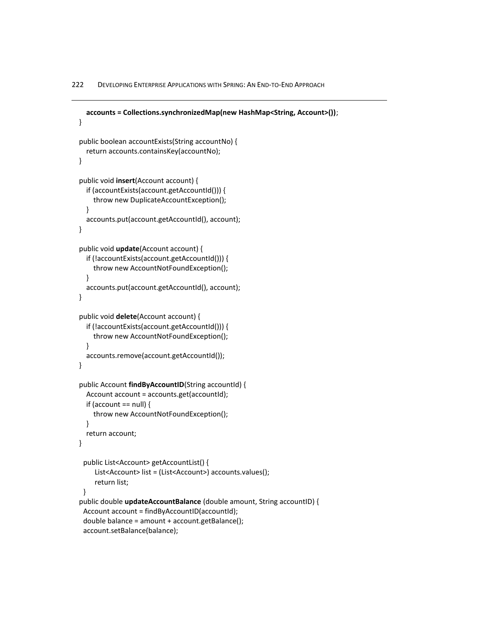```
 accounts = Collections.synchronizedMap(new HashMap<String, Account>());
 }
 public boolean accountExists(String accountNo) {
   return accounts.containsKey(accountNo);
 }
 public void insert(Account account) {
   if (accountExists(account.getAccountId())) {
     throw new DuplicateAccountException();
   }
   accounts.put(account.getAccountId(), account);
 }
 public void update(Account account) {
   if (!accountExists(account.getAccountId())) {
     throw new AccountNotFoundException();
   }
   accounts.put(account.getAccountId(), account);
 }
 public void delete(Account account) {
   if (!accountExists(account.getAccountId())) {
     throw new AccountNotFoundException();
   }
   accounts.remove(account.getAccountId());
 }
 public Account findByAccountID(String accountId) {
   Account account = accounts.get(accountId);
  if (account == null) {
     throw new AccountNotFoundException();
   }
   return account;
 }
 public List<Account> getAccountList() {
    List<Account> list = (List<Account>) accounts.values();
     return list;
 }
 public double updateAccountBalance (double amount, String accountID) {
  Account account = findByAccountID(accountId);
  double balance = amount + account.getBalance();
  account.setBalance(balance);
```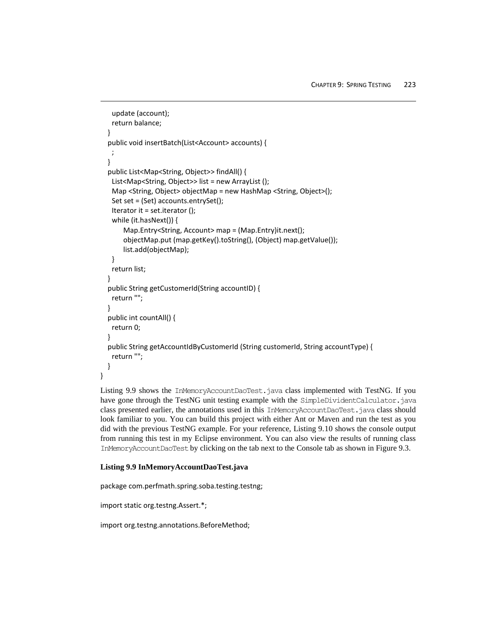```
 update (account);
    return balance;
   }
   public void insertBatch(List<Account> accounts) {
    ;
   }
   public List<Map<String, Object>> findAll() {
   List<Map<String, Object>> list = new ArrayList ();
     Map <String, Object> objectMap = new HashMap <String, Object>();
    Set set = (Set) accounts.entrySet();
    Iterator it = set.iterator ();
    while (it.hasNext()) {
        Map.Entry<String, Account> map = (Map.Entry)it.next();
        objectMap.put (map.getKey().toString(), (Object) map.getValue());
        list.add(objectMap);
    }
    return list;
   }
   public String getCustomerId(String accountID) {
    return "";
   }
   public int countAll() {
    return 0;
   }
   public String getAccountIdByCustomerId (String customerId, String accountType) {
    return "";
   }
}
```
Listing 9.9 shows the InMemoryAccountDaoTest.java class implemented with TestNG. If you have gone through the TestNG unit testing example with the SimpleDividentCalculator.java class presented earlier, the annotations used in this InMemoryAccountDaoTest.java class should look familiar to you. You can build this project with either Ant or Maven and run the test as you did with the previous TestNG example. For your reference, Listing 9.10 shows the console output from running this test in my Eclipse environment. You can also view the results of running class InMemoryAccountDaoTest by clicking on the tab next to the Console tab as shown in Figure 9.3.

#### **Listing 9.9 InMemoryAccountDaoTest.java**

package com.perfmath.spring.soba.testing.testng;

```
import static org.testng.Assert.*;
```
import org.testng.annotations.BeforeMethod;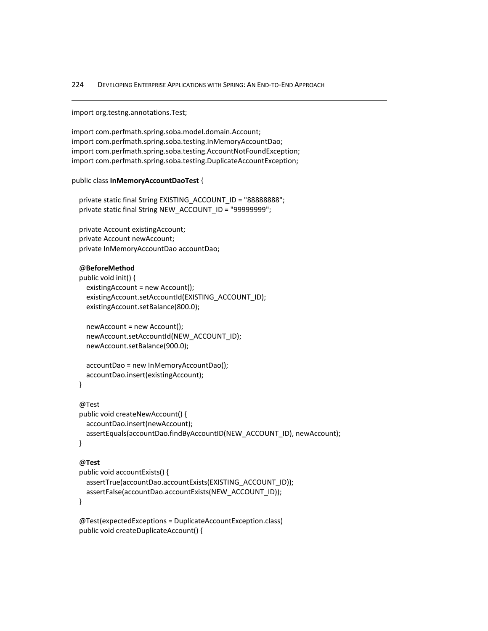import org.testng.annotations.Test;

import com.perfmath.spring.soba.model.domain.Account; import com.perfmath.spring.soba.testing.InMemoryAccountDao; import com.perfmath.spring.soba.testing.AccountNotFoundException; import com.perfmath.spring.soba.testing.DuplicateAccountException;

#### public class **InMemoryAccountDaoTest** {

```
private static final String EXISTING_ACCOUNT_ID = "88888888";
private static final String NEW_ACCOUNT_ID = "99999999";
```
 private Account existingAccount; private Account newAccount; private InMemoryAccountDao accountDao;

## @**BeforeMethod**

```
 public void init() {
   existingAccount = new Account();
   existingAccount.setAccountId(EXISTING_ACCOUNT_ID);
   existingAccount.setBalance(800.0);
```

```
 newAccount = new Account();
 newAccount.setAccountId(NEW_ACCOUNT_ID);
 newAccount.setBalance(900.0);
```

```
 accountDao = new InMemoryAccountDao();
 accountDao.insert(existingAccount);
```
}

#### @Test

```
 public void createNewAccount() {
   accountDao.insert(newAccount);
   assertEquals(accountDao.findByAccountID(NEW_ACCOUNT_ID), newAccount);
 }
```
## @**Test**

```
 public void accountExists() {
   assertTrue(accountDao.accountExists(EXISTING_ACCOUNT_ID));
   assertFalse(accountDao.accountExists(NEW_ACCOUNT_ID));
```
}

```
 @Test(expectedExceptions = DuplicateAccountException.class)
 public void createDuplicateAccount() {
```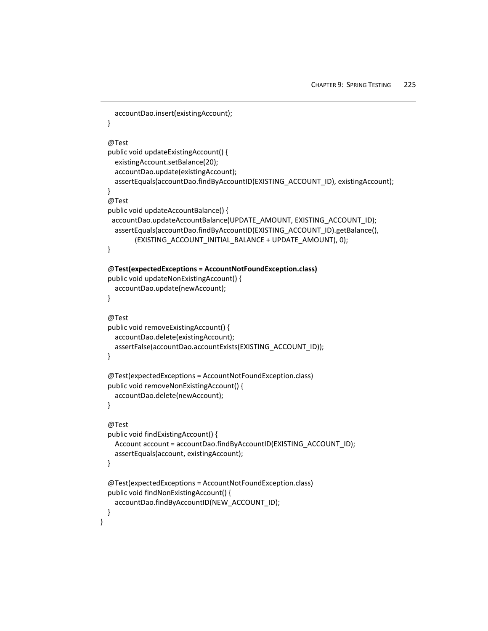```
 accountDao.insert(existingAccount);
 }
 @Test
 public void updateExistingAccount() {
   existingAccount.setBalance(20);
   accountDao.update(existingAccount);
   assertEquals(accountDao.findByAccountID(EXISTING_ACCOUNT_ID), existingAccount);
 }
 @Test
 public void updateAccountBalance() {
 accountDao.updateAccountBalance(UPDATE_AMOUNT, EXISTING_ACCOUNT_ID);
   assertEquals(accountDao.findByAccountID(EXISTING_ACCOUNT_ID).getBalance(), 
         (EXISTING_ACCOUNT_INITIAL_BALANCE + UPDATE_AMOUNT), 0);
 }
 @Test(expectedExceptions = AccountNotFoundException.class)
 public void updateNonExistingAccount() {
   accountDao.update(newAccount);
 }
 @Test
 public void removeExistingAccount() {
   accountDao.delete(existingAccount);
   assertFalse(accountDao.accountExists(EXISTING_ACCOUNT_ID));
 }
 @Test(expectedExceptions = AccountNotFoundException.class)
 public void removeNonExistingAccount() {
   accountDao.delete(newAccount);
 }
 @Test
 public void findExistingAccount() {
  Account account = accountDao.findByAccountID(EXISTING_ACCOUNT_ID);
   assertEquals(account, existingAccount);
 }
 @Test(expectedExceptions = AccountNotFoundException.class)
 public void findNonExistingAccount() {
   accountDao.findByAccountID(NEW_ACCOUNT_ID);
 }
```
}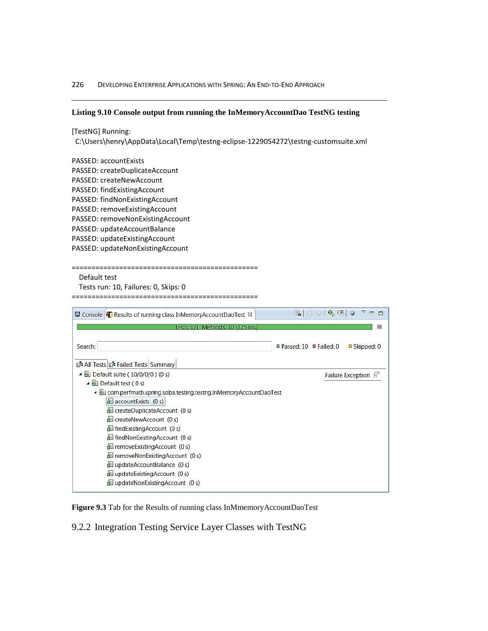#### **Listing 9.10 Console output from running the InMemoryAccountDao TestNG testing**

## [TestNG] Running:

C:\Users\henry\AppData\Local\Temp\testng-eclipse-1229054272\testng-customsuite.xml

PASSED: accountExists PASSED: createDuplicateAccount PASSED: createNewAccount PASSED: findExistingAccount PASSED: findNonExistingAccount PASSED: removeExistingAccount PASSED: removeNonExistingAccount PASSED: updateAccountBalance PASSED: updateExistingAccount PASSED: updateNonExistingAccount

===============================================

## Default test

Tests run: 10, Failures: 0, Skips: 0

===============================================

| ■ Console <b>M</b> Results of running class InMemoryAccountDaoTest <sup>33</sup>                                                                                                                                                                                                                                                                                                                                                      | $\mathbb{R} \downarrow 0$ $\mathbb{R}$ $\mathbb{R}$ $\parallel$<br>$\qquad \qquad \Box$<br>$\circledcirc$<br>F |
|---------------------------------------------------------------------------------------------------------------------------------------------------------------------------------------------------------------------------------------------------------------------------------------------------------------------------------------------------------------------------------------------------------------------------------------|----------------------------------------------------------------------------------------------------------------|
| Tests: 1/1 Methods: 10 (125 ms)                                                                                                                                                                                                                                                                                                                                                                                                       |                                                                                                                |
| Search:                                                                                                                                                                                                                                                                                                                                                                                                                               | <b>¤ Passed: 10 ■ Failed: 0</b><br>■ Skipped: 0                                                                |
| <b>B</b> All Tests <b>B</b> Failed Tests Summary                                                                                                                                                                                                                                                                                                                                                                                      |                                                                                                                |
| ▲ to Default suite (10/0/0/0) (0 s)                                                                                                                                                                                                                                                                                                                                                                                                   | Failure Exception F                                                                                            |
| $\triangleq$ $\frac{1}{2}$ Default test (0 s)                                                                                                                                                                                                                                                                                                                                                                                         |                                                                                                                |
| ▲ http://edu.perfmath.spring.soba.testing.testng.InMemoryAccountDaoTest<br>$\equiv$ accountExists (0 s)<br>createDuplicateAccount (0 s)<br>E createNewAccount (0 s)<br>$\frac{1}{2}$ find Existing Account (0 s)<br>findNonExistingAccount (0 s)<br>removeExistingAccount (0 s)<br>Figure moveNonExistingAccount (0 s)<br>updateAccountBalance (0 s)<br>$\frac{1}{2}$ update Existing Account (0 s)<br>updateNonExistingAccount (0 s) |                                                                                                                |

**Figure 9.3** Tab for the Results of running class InMmemoryAccountDaoTest

9.2.2 Integration Testing Service Layer Classes with TestNG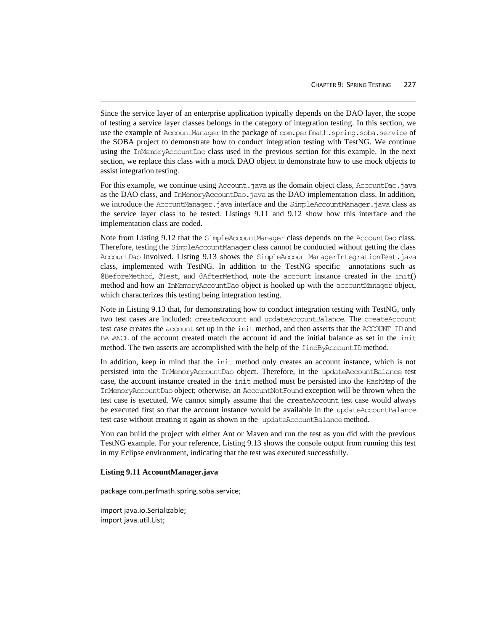Since the service layer of an enterprise application typically depends on the DAO layer, the scope of testing a service layer classes belongs in the category of integration testing. In this section, we use the example of AccountManager in the package of com.perfmath.spring.soba.service of the SOBA project to demonstrate how to conduct integration testing with TestNG. We continue using the InMemoryAccountDao class used in the previous section for this example. In the next section, we replace this class with a mock DAO object to demonstrate how to use mock objects to assist integration testing.

For this example, we continue using Account.java as the domain object class, AccountDao.java as the DAO class, and InMemoryAccountDao.java as the DAO implementation class. In addition, we introduce the AccountManager.java interface and the SimpleAccountManager.java class as the service layer class to be tested. Listings 9.11 and 9.12 show how this interface and the implementation class are coded.

Note from Listing 9.12 that the SimpleAccountManager class depends on the AccountDao class. Therefore, testing the SimpleAccountManager class cannot be conducted without getting the class AccountDao involved. Listing 9.13 shows the SimpleAccountManagerIntegrationTest.java class, implemented with TestNG. In addition to the TestNG specific annotations such as @BeforeMethod, @Test, and @AfterMethod, note the account instance created in the init() method and how an InMemoryAccountDao object is hooked up with the accountManager object, which characterizes this testing being integration testing.

Note in Listing 9.13 that, for demonstrating how to conduct integration testing with TestNG, only two test cases are included: createAccount and updateAccountBalance. The createAccount test case creates the account set up in the init method, and then asserts that the ACCOUNT\_ID and BALANCE of the account created match the account id and the initial balance as set in the init method. The two asserts are accomplished with the help of the findByAccountID method.

In addition, keep in mind that the init method only creates an account instance, which is not persisted into the InMemoryAccountDao object. Therefore, in the updateAccountBalance test case, the account instance created in the init method must be persisted into the HashMap of the InMemoryAccountDao object; otherwise, an AccountNotFound exception will be thrown when the test case is executed. We cannot simply assume that the createAccount test case would always be executed first so that the account instance would be available in the updateAccountBalance test case without creating it again as shown in the updateAccountBalance method.

You can build the project with either Ant or Maven and run the test as you did with the previous TestNG example. For your reference, Listing 9.13 shows the console output from running this test in my Eclipse environment, indicating that the test was executed successfully.

#### **Listing 9.11 AccountManager.java**

package com.perfmath.spring.soba.service;

import java.io.Serializable; import java.util.List;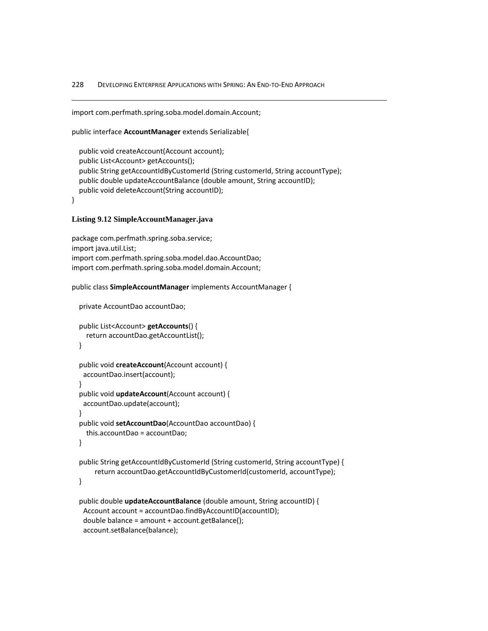```
import com.perfmath.spring.soba.model.domain.Account;
```

```
public interface AccountManager extends Serializable{
```

```
 public void createAccount(Account account); 
 public List<Account> getAccounts();
public String getAccountIdByCustomerId (String customerId, String accountType);
 public double updateAccountBalance (double amount, String accountID);
 public void deleteAccount(String accountID);
```
## **Listing 9.12 SimpleAccountManager.java**

}

```
package com.perfmath.spring.soba.service;
import java.util.List;
import com.perfmath.spring.soba.model.dao.AccountDao;
import com.perfmath.spring.soba.model.domain.Account;
```

```
public class SimpleAccountManager implements AccountManager {
```
private AccountDao accountDao;

```
 public List<Account> getAccounts() {
   return accountDao.getAccountList();
 }
 public void createAccount(Account account) {
  accountDao.insert(account);
 }
 public void updateAccount(Account account) {
  accountDao.update(account);
 }
 public void setAccountDao(AccountDao accountDao) {
   this.accountDao = accountDao;
 }
 public String getAccountIdByCustomerId (String customerId, String accountType) {
     return accountDao.getAccountIdByCustomerId(customerId, accountType);
 }
 public double updateAccountBalance (double amount, String accountID) {
  Account account = accountDao.findByAccountID(accountID);
  double balance = amount + account.getBalance();
```

```
 account.setBalance(balance);
```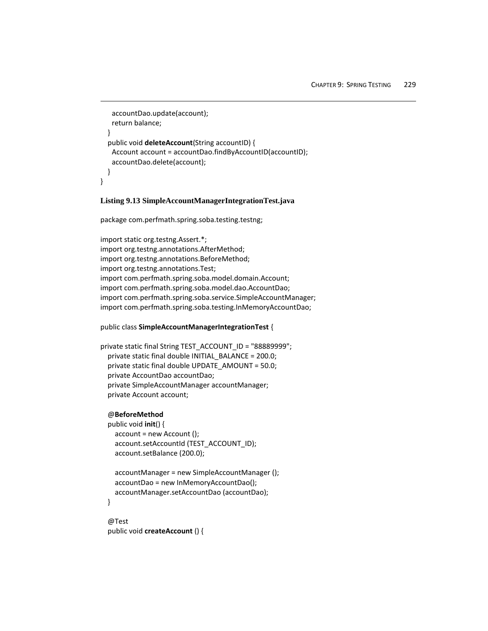```
 accountDao.update(account);
    return balance;
   }
   public void deleteAccount(String accountID) {
    Account account = accountDao.findByAccountID(accountID);
    accountDao.delete(account);
   }
}
```
#### **Listing 9.13 SimpleAccountManagerIntegrationTest.java**

package com.perfmath.spring.soba.testing.testng;

```
import static org.testng.Assert.*;
import org.testng.annotations.AfterMethod;
import org.testng.annotations.BeforeMethod;
import org.testng.annotations.Test;
import com.perfmath.spring.soba.model.domain.Account;
import com.perfmath.spring.soba.model.dao.AccountDao;
import com.perfmath.spring.soba.service.SimpleAccountManager;
import com.perfmath.spring.soba.testing.InMemoryAccountDao;
```
#### public class **SimpleAccountManagerIntegrationTest** {

```
private static final String TEST_ACCOUNT_ID = "88889999";
  private static final double INITIAL_BALANCE = 200.0;
  private static final double UPDATE_AMOUNT = 50.0;
  private AccountDao accountDao;
  private SimpleAccountManager accountManager;
  private Account account;
```
#### @**BeforeMethod**

```
 public void init() {
   account = new Account ();
   account.setAccountId (TEST_ACCOUNT_ID);
   account.setBalance (200.0);
```

```
 accountManager = new SimpleAccountManager ();
 accountDao = new InMemoryAccountDao();
 accountManager.setAccountDao (accountDao);
```

```
 }
```

```
 @Test
 public void createAccount () {
```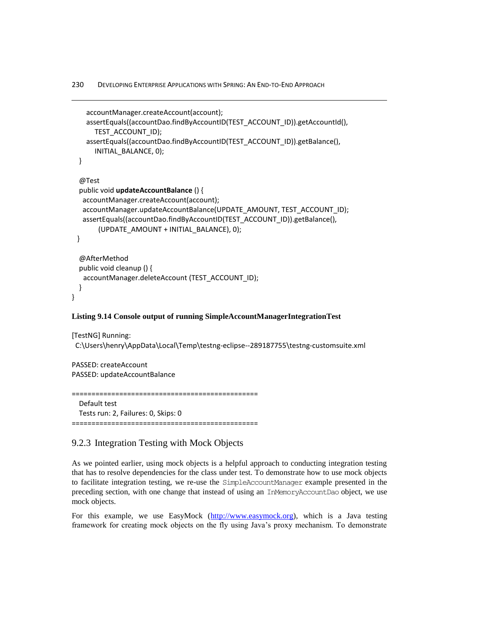```
 accountManager.createAccount(account);
     assertEquals((accountDao.findByAccountID(TEST_ACCOUNT_ID)).getAccountId(), 
      TEST_ACCOUNT_ID);
     assertEquals((accountDao.findByAccountID(TEST_ACCOUNT_ID)).getBalance(), 
      INITIAL_BALANCE, 0);
  }
   @Test
   public void updateAccountBalance () {
    accountManager.createAccount(account);
   accountManager.updateAccountBalance(UPDATE_AMOUNT, TEST_ACCOUNT_ID);
    assertEquals((accountDao.findByAccountID(TEST_ACCOUNT_ID)).getBalance(), 
        (UPDATE_AMOUNT + INITIAL_BALANCE), 0);
  }
   @AfterMethod
   public void cleanup () {
    accountManager.deleteAccount (TEST_ACCOUNT_ID);
  }
Listing 9.14 Console output of running SimpleAccountManagerIntegrationTest
```
[TestNG] Running: C:\Users\henry\AppData\Local\Temp\testng-eclipse--289187755\testng-customsuite.xml

PASSED: createAccount PASSED: updateAccountBalance

}

=============================================== Default test Tests run: 2, Failures: 0, Skips: 0 ===============================================

## 9.2.3 Integration Testing with Mock Objects

As we pointed earlier, using mock objects is a helpful approach to conducting integration testing that has to resolve dependencies for the class under test. To demonstrate how to use mock objects to facilitate integration testing, we re-use the SimpleAccountManager example presented in the preceding section, with one change that instead of using an InMemoryAccountDao object, we use mock objects.

For this example, we use EasyMock [\(http://www.easymock.org\)](http://www.easymock.org/), which is a Java testing framework for creating mock objects on the fly using Java's proxy mechanism. To demonstrate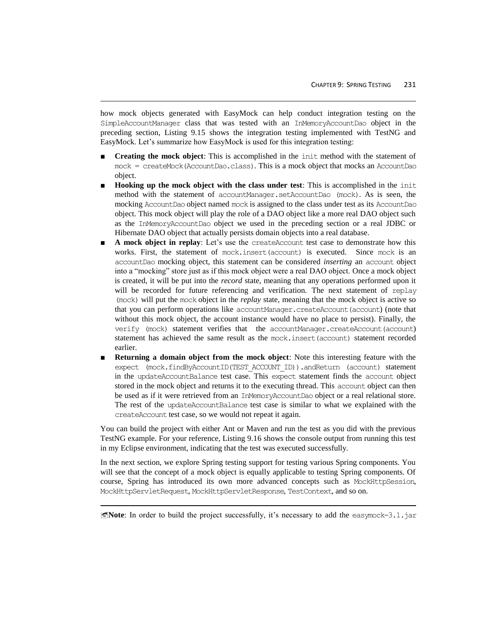how mock objects generated with EasyMock can help conduct integration testing on the SimpleAccountManager class that was tested with an InMemoryAccountDao object in the preceding section, Listing 9.15 shows the integration testing implemented with TestNG and EasyMock. Let's summarize how EasyMock is used for this integration testing:

- **The Creating the mock object:** This is accomplished in the init method with the statement of mock = createMock(AccountDao.class). This is a mock object that mocks an AccountDao object.
- **Hooking up the mock object with the class under test**: This is accomplished in the init method with the statement of accountManager.setAccountDao (mock). As is seen, the mocking AccountDao object named mock is assigned to the class under test as its AccountDao object. This mock object will play the role of a DAO object like a more real DAO object such as the InMemoryAccountDao object we used in the preceding section or a real JDBC or Hibernate DAO object that actually persists domain objects into a real database.
- A mock object in replay: Let's use the createAccount test case to demonstrate how this works. First, the statement of mock.insert(account) is executed. Since mock is an accountDao mocking object, this statement can be considered *inserting* an account object into a "mocking" store just as if this mock object were a real DAO object. Once a mock object is created, it will be put into the *record* state, meaning that any operations performed upon it will be recorded for future referencing and verification. The next statement of replay (mock) will put the mock object in the *replay* state, meaning that the mock object is active so that you can perform operations like accountManager.createAccount(account) (note that without this mock object, the account instance would have no place to persist). Finally, the verify (mock) statement verifies that the accountManager.createAccount(account) statement has achieved the same result as the mock.insert(account) statement recorded earlier.
- **Returning a domain object from the mock object:** Note this interesting feature with the expect (mock.findByAccountID(TEST\_ACCOUNT\_ID)).andReturn (account) statement in the updateAccountBalance test case. This expect statement finds the account object stored in the mock object and returns it to the executing thread. This account object can then be used as if it were retrieved from an InMemoryAccountDao object or a real relational store. The rest of the updateAccountBalance test case is similar to what we explained with the createAccount test case, so we would not repeat it again.

You can build the project with either Ant or Maven and run the test as you did with the previous TestNG example. For your reference, Listing 9.16 shows the console output from running this test in my Eclipse environment, indicating that the test was executed successfully.

In the next section, we explore Spring testing support for testing various Spring components. You will see that the concept of a mock object is equally applicable to testing Spring components. Of course, Spring has introduced its own more advanced concepts such as MockHttpSession, MockHttpServletRequest, MockHttpServletResponse, TestContext, and so on.

**Note:** In order to build the project successfully, it's necessary to add the easymock-3.1.jar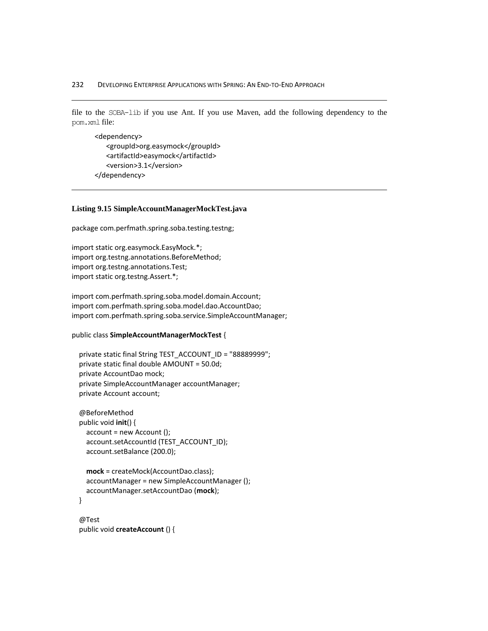file to the SOBA-lib if you use Ant. If you use Maven, add the following dependency to the pom.xml file:

<dependency> <groupId>org.easymock</groupId> <artifactId>easymock</artifactId> <version>3.1</version> </dependency>

#### **Listing 9.15 SimpleAccountManagerMockTest.java**

package com.perfmath.spring.soba.testing.testng;

import static org.easymock.EasyMock.\*; import org.testng.annotations.BeforeMethod; import org.testng.annotations.Test; import static org.testng.Assert.\*;

import com.perfmath.spring.soba.model.domain.Account; import com.perfmath.spring.soba.model.dao.AccountDao; import com.perfmath.spring.soba.service.SimpleAccountManager;

public class **SimpleAccountManagerMockTest** {

```
 private static final String TEST_ACCOUNT_ID = "88889999";
 private static final double AMOUNT = 50.0d;
 private AccountDao mock;
 private SimpleAccountManager accountManager;
 private Account account;
```
 @BeforeMethod public void **init**() { account = new Account (); account.setAccountId (TEST\_ACCOUNT\_ID); account.setBalance (200.0);

```
 mock = createMock(AccountDao.class);
 accountManager = new SimpleAccountManager ();
 accountManager.setAccountDao (mock);
```

```
 }
```
 @Test public void **createAccount** () {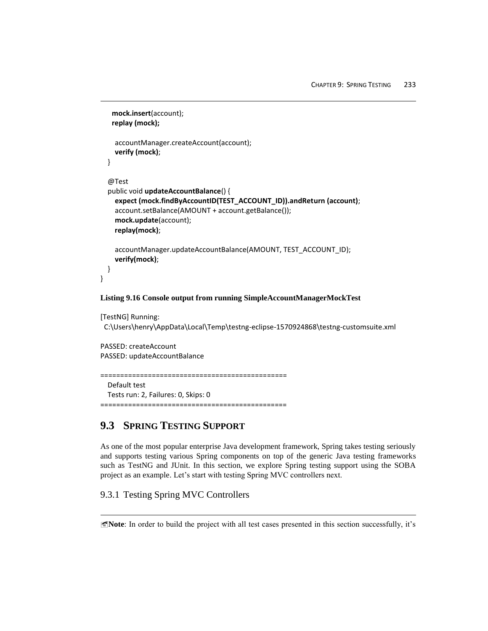```
 mock.insert(account);
  replay (mock);
   accountManager.createAccount(account);
   verify (mock);
 }
 @Test
 public void updateAccountBalance() {
   expect (mock.findByAccountID(TEST_ACCOUNT_ID)).andReturn (account);
   account.setBalance(AMOUNT + account.getBalance());
   mock.update(account);
  replay(mock);
   accountManager.updateAccountBalance(AMOUNT, TEST_ACCOUNT_ID);
   verify(mock);
 }
```
#### **Listing 9.16 Console output from running SimpleAccountManagerMockTest**

[TestNG] Running: C:\Users\henry\AppData\Local\Temp\testng-eclipse-1570924868\testng-customsuite.xml

PASSED: createAccount PASSED: updateAccountBalance

}

=============================================== Default test Tests run: 2, Failures: 0, Skips: 0 ===============================================

# **9.3 SPRING TESTING SUPPORT**

As one of the most popular enterprise Java development framework, Spring takes testing seriously and supports testing various Spring components on top of the generic Java testing frameworks such as TestNG and JUnit. In this section, we explore Spring testing support using the SOBA project as an example. Let's start with testing Spring MVC controllers next.

## 9.3.1 Testing Spring MVC Controllers

**Note**: In order to build the project with all test cases presented in this section successfully, it's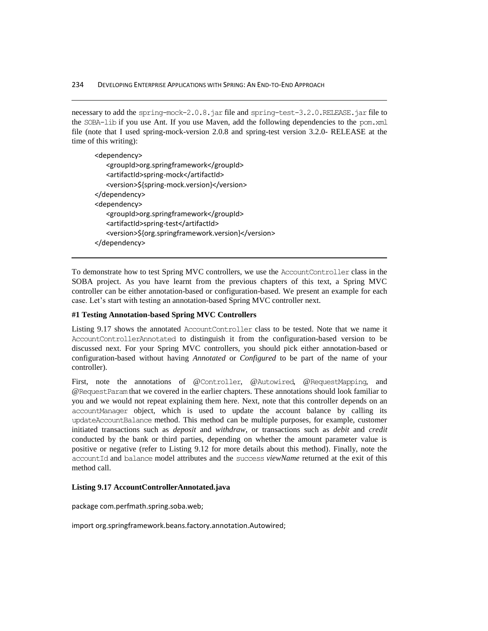necessary to add the spring-mock-2.0.8.jar file and spring-test-3.2.0.RELEASE.jar file to the SOBA-lib if you use Ant. If you use Maven, add the following dependencies to the pom.xml file (note that I used spring-mock-version 2.0.8 and spring-test version 3.2.0- RELEASE at the time of this writing):

<dependency> <groupId>org.springframework</groupId> <artifactId>spring-mock</artifactId> <version>\${spring-mock.version}</version> </dependency> <dependency> <groupId>org.springframework</groupId> <artifactId>spring-test</artifactId> <version>\${org.springframework.version}</version> </dependency>

To demonstrate how to test Spring MVC controllers, we use the AccountController class in the SOBA project. As you have learnt from the previous chapters of this text, a Spring MVC controller can be either annotation-based or configuration-based. We present an example for each case. Let's start with testing an annotation-based Spring MVC controller next.

## **#1 Testing Annotation-based Spring MVC Controllers**

Listing 9.17 shows the annotated AccountController class to be tested. Note that we name it AccountControllerAnnotated to distinguish it from the configuration-based version to be discussed next. For your Spring MVC controllers, you should pick either annotation-based or configuration-based without having *Annotated* or *Configured* to be part of the name of your controller).

First, note the annotations of @Controller, @Autowired, @RequestMapping, and @RequestParam that we covered in the earlier chapters. These annotations should look familiar to you and we would not repeat explaining them here. Next, note that this controller depends on an accountManager object, which is used to update the account balance by calling its updateAccountBalance method. This method can be multiple purposes, for example, customer initiated transactions such as *deposit* and *withdraw*, or transactions such as *debit* and *credit* conducted by the bank or third parties, depending on whether the amount parameter value is positive or negative (refer to Listing 9.12 for more details about this method). Finally, note the accountId and balance model attributes and the success *viewName* returned at the exit of this method call.

#### **Listing 9.17 AccountControllerAnnotated.java**

package com.perfmath.spring.soba.web;

import org.springframework.beans.factory.annotation.Autowired;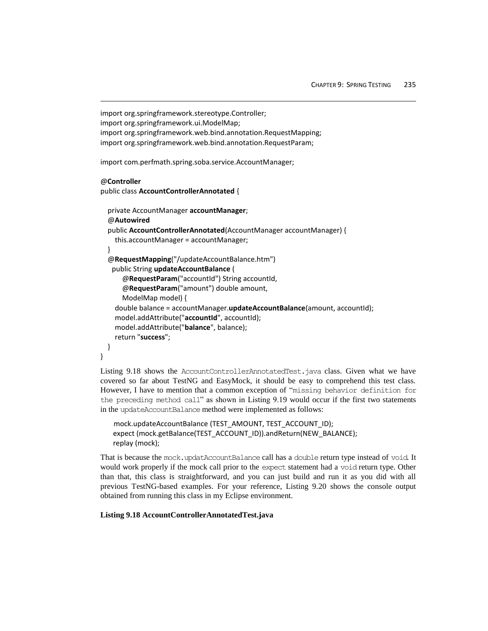```
import org.springframework.stereotype.Controller;
import org.springframework.ui.ModelMap;
import org.springframework.web.bind.annotation.RequestMapping;
import org.springframework.web.bind.annotation.RequestParam;
```
import com.perfmath.spring.soba.service.AccountManager;

#### @**Controller**

}

public class **AccountControllerAnnotated** {

```
 private AccountManager accountManager;
 @Autowired
 public AccountControllerAnnotated(AccountManager accountManager) {
   this.accountManager = accountManager;
 }
 @RequestMapping("/updateAccountBalance.htm")
 public String updateAccountBalance (
     @RequestParam("accountId") String accountId,
     @RequestParam("amount") double amount,
     ModelMap model) {
   double balance = accountManager.updateAccountBalance(amount, accountId);
   model.addAttribute("accountId", accountId);
   model.addAttribute("balance", balance);
   return "success";
 }
```
Listing 9.18 shows the AccountControllerAnnotatedTest.java class. Given what we have covered so far about TestNG and EasyMock, it should be easy to comprehend this test class. However, I have to mention that a common exception of "missing behavior definition for the preceding method call" as shown in Listing 9.19 would occur if the first two statements in the updateAccountBalance method were implemented as follows:

```
mock.updateAccountBalance (TEST_AMOUNT, TEST_ACCOUNT_ID);
 expect (mock.getBalance(TEST_ACCOUNT_ID)).andReturn(NEW_BALANCE);
 replay (mock);
```
That is because the mock.updatAccountBalance call has a double return type instead of void. It would work properly if the mock call prior to the expect statement had a void return type. Other than that, this class is straightforward, and you can just build and run it as you did with all previous TestNG-based examples. For your reference, Listing 9.20 shows the console output obtained from running this class in my Eclipse environment.

#### **Listing 9.18 AccountControllerAnnotatedTest.java**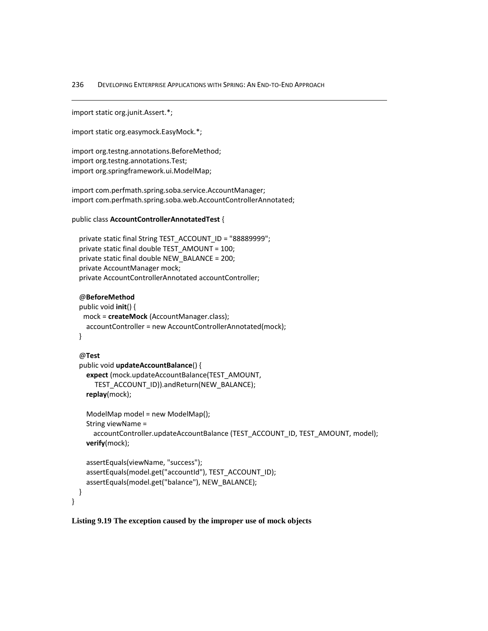import static org.junit.Assert.\*;

import static org.easymock.EasyMock.\*;

import org.testng.annotations.BeforeMethod; import org.testng.annotations.Test; import org.springframework.ui.ModelMap;

import com.perfmath.spring.soba.service.AccountManager; import com.perfmath.spring.soba.web.AccountControllerAnnotated;

## public class **AccountControllerAnnotatedTest** {

```
 private static final String TEST_ACCOUNT_ID = "88889999";
 private static final double TEST_AMOUNT = 100;
 private static final double NEW_BALANCE = 200;
 private AccountManager mock;
 private AccountControllerAnnotated accountController;
```
#### @**BeforeMethod**

```
 public void init() {
  mock = createMock (AccountManager.class);
   accountController = new AccountControllerAnnotated(mock);
 }
```
## @**Test**

```
 public void updateAccountBalance() {
   expect (mock.updateAccountBalance(TEST_AMOUNT, 
    TEST_ACCOUNT_ID)).andReturn(NEW_BALANCE);
   replay(mock);
   ModelMap model = new ModelMap();
   String viewName =
     accountController.updateAccountBalance (TEST_ACCOUNT_ID, TEST_AMOUNT, model);
   verify(mock);
   assertEquals(viewName, "success");
   assertEquals(model.get("accountId"), TEST_ACCOUNT_ID);
   assertEquals(model.get("balance"), NEW_BALANCE);
 }
```

```
}
```
**Listing 9.19 The exception caused by the improper use of mock objects**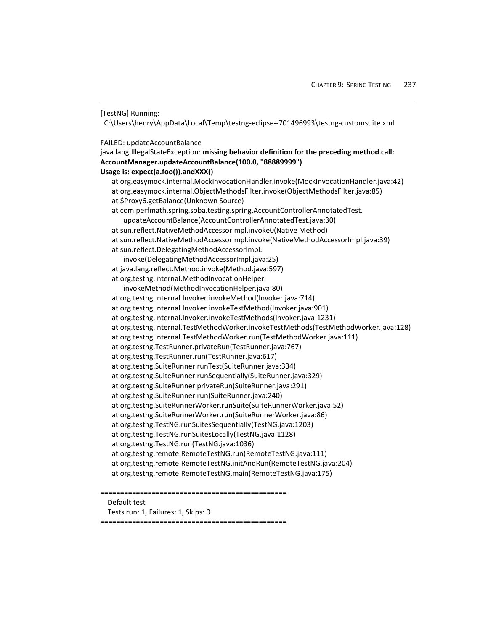[TestNG] Running:

C:\Users\henry\AppData\Local\Temp\testng-eclipse--701496993\testng-customsuite.xml

FAILED: updateAccountBalance

| java.lang.IllegalStateException: missing behavior definition for the preceding method call: |
|---------------------------------------------------------------------------------------------|
| AccountManager.updateAccountBalance(100.0. "88889999")                                      |
| Usage is: $expect(a.foo()).andXXX()$                                                        |

```
at org.easymock.internal.MockInvocationHandler.invoke(MockInvocationHandler.java:42)
at org.easymock.internal.ObjectMethodsFilter.invoke(ObjectMethodsFilter.java:85)
at $Proxy6.getBalance(Unknown Source)
at com.perfmath.spring.soba.testing.spring.AccountControllerAnnotatedTest.
   updateAccountBalance(AccountControllerAnnotatedTest.java:30)
at sun.reflect.NativeMethodAccessorImpl.invoke0(Native Method)
at sun.reflect.NativeMethodAccessorImpl.invoke(NativeMethodAccessorImpl.java:39)
at sun.reflect.DelegatingMethodAccessorImpl.
   invoke(DelegatingMethodAccessorImpl.java:25)
at java.lang.reflect.Method.invoke(Method.java:597)
at org.testng.internal.MethodInvocationHelper.
   invokeMethod(MethodInvocationHelper.java:80)
at org.testng.internal.Invoker.invokeMethod(Invoker.java:714)
at org.testng.internal.Invoker.invokeTestMethod(Invoker.java:901)
at org.testng.internal.Invoker.invokeTestMethods(Invoker.java:1231)
at org.testng.internal.TestMethodWorker.invokeTestMethods(TestMethodWorker.java:128)
at org.testng.internal.TestMethodWorker.run(TestMethodWorker.java:111)
at org.testng.TestRunner.privateRun(TestRunner.java:767)
at org.testng.TestRunner.run(TestRunner.java:617)
at org.testng.SuiteRunner.runTest(SuiteRunner.java:334)
at org.testng.SuiteRunner.runSequentially(SuiteRunner.java:329)
at org.testng.SuiteRunner.privateRun(SuiteRunner.java:291)
at org.testng.SuiteRunner.run(SuiteRunner.java:240)
at org.testng.SuiteRunnerWorker.runSuite(SuiteRunnerWorker.java:52)
at org.testng.SuiteRunnerWorker.run(SuiteRunnerWorker.java:86)
at org.testng.TestNG.runSuitesSequentially(TestNG.java:1203)
at org.testng.TestNG.runSuitesLocally(TestNG.java:1128)
at org.testng.TestNG.run(TestNG.java:1036)
at org.testng.remote.RemoteTestNG.run(RemoteTestNG.java:111)
at org.testng.remote.RemoteTestNG.initAndRun(RemoteTestNG.java:204)
at org.testng.remote.RemoteTestNG.main(RemoteTestNG.java:175)
```
===============================================

#### Default test

Tests run: 1, Failures: 1, Skips: 0

===============================================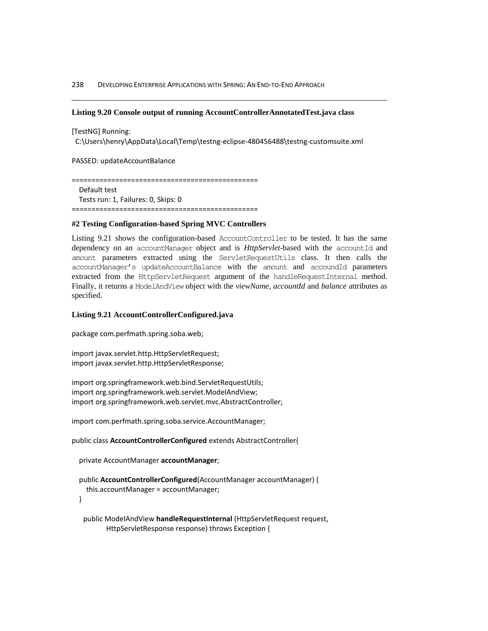#### **Listing 9.20 Console output of running AccountControllerAnnotatedTest.java class**

[TestNG] Running: C:\Users\henry\AppData\Local\Temp\testng-eclipse-480456488\testng-customsuite.xml

PASSED: updateAccountBalance

=============================================== Default test Tests run: 1, Failures: 0, Skips: 0 ===============================================

#### **#2 Testing Configuration-based Spring MVC Controllers**

Listing 9.21 shows the configuration-based AccountController to be tested. It has the same dependency on an accountManager object and is *HttpServlet*-based with the accountId and amount parameters extracted using the ServletRequestUtils class. It then calls the accountManager's updateAccountBalance with the amount and accoundId parameters extracted from the HttpServletRequest argument of the handleRequestInternal method. Finally, it returns a ModelAndView object with the *viewName*, *accountId* and *balance* attributes as specified.

## **Listing 9.21 AccountControllerConfigured.java**

package com.perfmath.spring.soba.web;

import javax.servlet.http.HttpServletRequest; import javax.servlet.http.HttpServletResponse;

import org.springframework.web.bind.ServletRequestUtils; import org.springframework.web.servlet.ModelAndView; import org.springframework.web.servlet.mvc.AbstractController;

import com.perfmath.spring.soba.service.AccountManager;

public class **AccountControllerConfigured** extends AbstractController{

private AccountManager **accountManager**;

```
 public AccountControllerConfigured(AccountManager accountManager) {
   this.accountManager = accountManager;
```
}

```
public ModelAndView handleRequestInternal (HttpServletRequest request,
      HttpServletResponse response) throws Exception {
```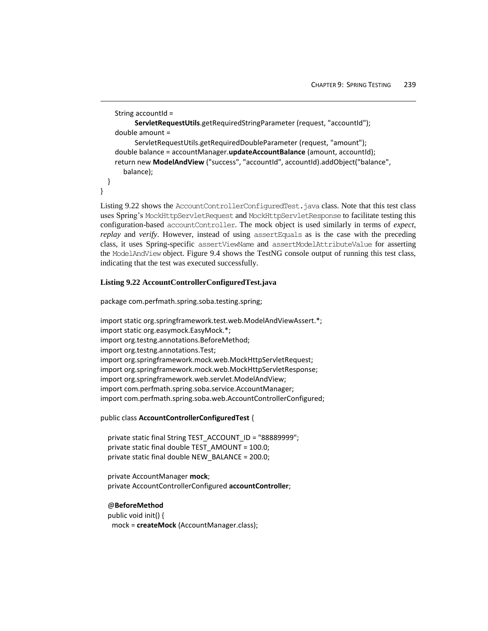```
String accountId =
         ServletRequestUtils.getRequiredStringParameter (request, "accountId");
   double amount =
         ServletRequestUtils.getRequiredDoubleParameter (request, "amount");
   double balance = accountManager.updateAccountBalance (amount, accountId);
   return new ModelAndView ("success", "accountId", accountId).addObject("balance", 
     balance);
 }
```
Listing 9.22 shows the AccountControllerConfiguredTest.java class. Note that this test class uses Spring's MockHttpServletRequest and MockHttpServletResponse to facilitate testing this configuration-based accountController. The mock object is used similarly in terms of *expect*, *replay* and *verify*. However, instead of using assertEquals as is the case with the preceding class, it uses Spring-specific assertViewName and assertModelAttributeValue for asserting the ModelAndView object. Figure 9.4 shows the TestNG console output of running this test class, indicating that the test was executed successfully.

#### **Listing 9.22 AccountControllerConfiguredTest.java**

package com.perfmath.spring.soba.testing.spring;

import static org.springframework.test.web.ModelAndViewAssert.\*; import static org.easymock.EasyMock.\*; import org.testng.annotations.BeforeMethod; import org.testng.annotations.Test; import org.springframework.mock.web.MockHttpServletRequest; import org.springframework.mock.web.MockHttpServletResponse; import org.springframework.web.servlet.ModelAndView; import com.perfmath.spring.soba.service.AccountManager; import com.perfmath.spring.soba.web.AccountControllerConfigured;

#### public class **AccountControllerConfiguredTest** {

private static final String TEST\_ACCOUNT\_ID = "88889999"; private static final double TEST\_AMOUNT = 100.0; private static final double NEW\_BALANCE = 200.0;

 private AccountManager **mock**; private AccountControllerConfigured **accountController**;

#### @**BeforeMethod**

}

 public void init() { mock = **createMock** (AccountManager.class);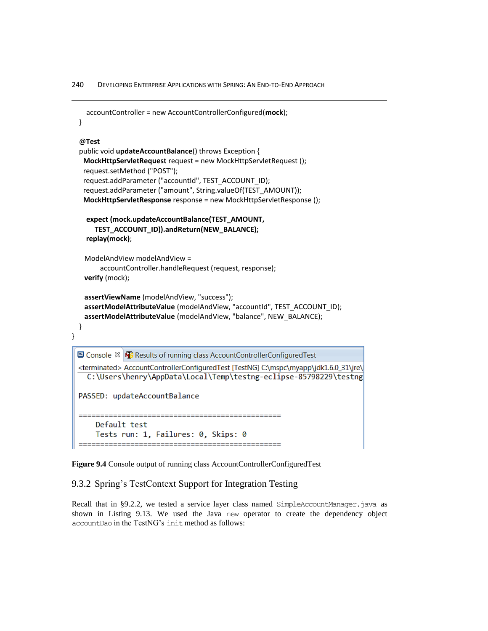```
 accountController = new AccountControllerConfigured(mock);
  }
  @Test
  public void updateAccountBalance() throws Exception {
   MockHttpServletRequest request = new MockHttpServletRequest ();
   request.setMethod ("POST");
   request.addParameter ("accountId", TEST_ACCOUNT_ID);
   request.addParameter ("amount", String.valueOf(TEST_AMOUNT));
   MockHttpServletResponse response = new MockHttpServletResponse ();
    expect (mock.updateAccountBalance(TEST_AMOUNT, 
     TEST_ACCOUNT_ID)).andReturn(NEW_BALANCE);
    replay(mock);
    ModelAndView modelAndView = 
       accountController.handleRequest (request, response);
    verify (mock);
    assertViewName (modelAndView, "success");
    assertModelAttributeValue (modelAndView, "accountId", TEST_ACCOUNT_ID);
    assertModelAttributeValue (modelAndView, "balance", NEW_BALANCE);
  }
}
 U Console & N Results of running class AccountControllerConfigured Test
 <terminated> AccountControllerConfiguredTest [TestNG] C:\mspc\myapp\jdk1.6.0_31\jre\
   C:\Users\henry\AppData\Local\Temp\testng-eclipse-85798229\testng
 PASSED: updateAccountBalance
 Default test
     Tests run: 1, Failures: 0, Skips: 0
```
**Figure 9.4** Console output of running class AccountControllerConfiguredTest

## 9.3.2 Spring's TestContext Support for Integration Testing

Recall that in §9.2.2, we tested a service layer class named SimpleAccountManager.java as shown in Listing 9.13. We used the Java new operator to create the dependency object accountDao in the TestNG's init method as follows: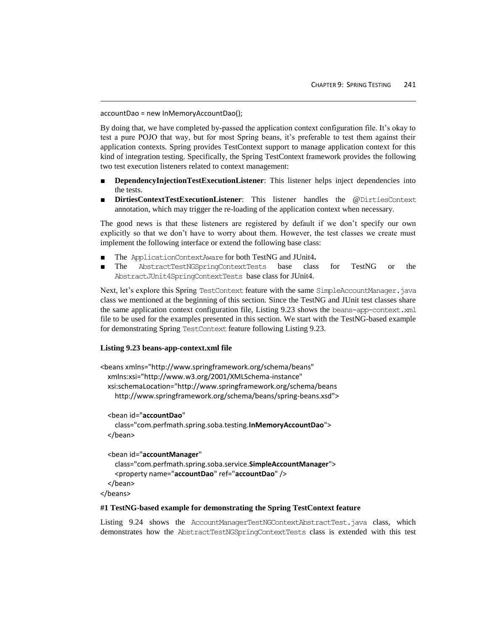accountDao = new InMemoryAccountDao();

By doing that, we have completed by-passed the application context configuration file. It's okay to test a pure POJO that way, but for most Spring beans, it's preferable to test them against their application contexts. Spring provides TestContext support to manage application context for this kind of integration testing. Specifically, the Spring TestContext framework provides the following two test execution listeners related to context management:

- **DependencyInjectionTestExecutionListener**: This listener helps inject dependencies into the tests.
- **DirtiesContextTestExecutionListener**: This listener handles the @DirtiesContext annotation, which may trigger the re-loading of the application context when necessary.

The good news is that these listeners are registered by default if we don't specify our own explicitly so that we don't have to worry about them. However, the test classes we create must implement the following interface or extend the following base class:

- The ApplicationContextAware for both TestNG and JUnit4.
- The AbstractTestNGSpringContextTests base class for TestNG or the AbstractJUnit4SpringContextTests base class for JUnit4.

Next, let's explore this Spring TestContext feature with the same SimpleAccountManager.java class we mentioned at the beginning of this section. Since the TestNG and JUnit test classes share the same application context configuration file, Listing 9.23 shows the beans-app-context.xml file to be used for the examples presented in this section. We start with the TestNG-based example for demonstrating Spring TestContext feature following Listing 9.23.

#### **Listing 9.23 beans-app-context.xml file**

```
<beans xmlns="http://www.springframework.org/schema/beans"
  xmlns:xsi="http://www.w3.org/2001/XMLSchema-instance"
  xsi:schemaLocation="http://www.springframework.org/schema/beans
     http://www.springframework.org/schema/beans/spring-beans.xsd">
  <bean id="accountDao"
```
 class="com.perfmath.spring.soba.testing.**InMemoryAccountDao**"> </bean>

```
 <bean id="accountManager"
     class="com.perfmath.spring.soba.service.SimpleAccountManager">
     <property name="accountDao" ref="accountDao" />
  </bean>
</beans>
```
#### **#1 TestNG-based example for demonstrating the Spring TestContext feature**

Listing 9.24 shows the AccountManagerTestNGContextAbstractTest.java class, which demonstrates how the AbstractTestNGSpringContextTests class is extended with this test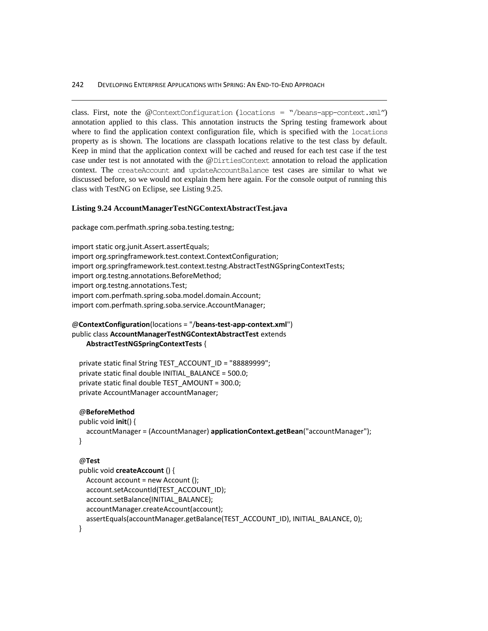class. First, note the @ContextConfiguration (locations = "/beans-app-context.xml") annotation applied to this class. This annotation instructs the Spring testing framework about where to find the application context configuration file, which is specified with the locations property as is shown. The locations are classpath locations relative to the test class by default. Keep in mind that the application context will be cached and reused for each test case if the test case under test is not annotated with the @DirtiesContext annotation to reload the application context. The createAccount and updateAccountBalance test cases are similar to what we discussed before, so we would not explain them here again. For the console output of running this class with TestNG on Eclipse, see Listing 9.25.

#### **Listing 9.24 AccountManagerTestNGContextAbstractTest.java**

package com.perfmath.spring.soba.testing.testng;

```
import static org.junit.Assert.assertEquals;
import org.springframework.test.context.ContextConfiguration;
import org.springframework.test.context.testng.AbstractTestNGSpringContextTests;
import org.testng.annotations.BeforeMethod;
import org.testng.annotations.Test;
import com.perfmath.spring.soba.model.domain.Account;
import com.perfmath.spring.soba.service.AccountManager;
```

```
@ContextConfiguration(locations = "/beans-test-app-context.xml")
public class AccountManagerTestNGContextAbstractTest extends
     AbstractTestNGSpringContextTests {
```

```
private static final String TEST_ACCOUNT_ID = "88889999";
 private static final double INITIAL_BALANCE = 500.0;
 private static final double TEST_AMOUNT = 300.0;
 private AccountManager accountManager;
```
## @**BeforeMethod**

```
 public void init() {
   accountManager = (AccountManager) applicationContext.getBean("accountManager");
 }
```
## @**Test**

```
 public void createAccount () {
   Account account = new Account ();
   account.setAccountId(TEST_ACCOUNT_ID);
   account.setBalance(INITIAL_BALANCE);
   accountManager.createAccount(account);
   assertEquals(accountManager.getBalance(TEST_ACCOUNT_ID), INITIAL_BALANCE, 0);
```
}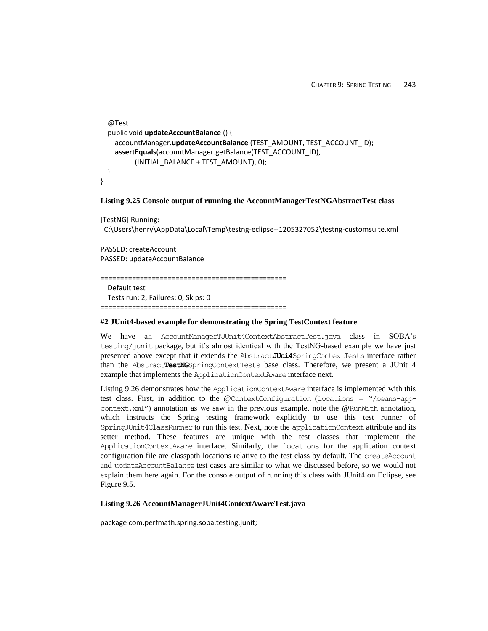```
 @Test
   public void updateAccountBalance () {
     accountManager.updateAccountBalance (TEST_AMOUNT, TEST_ACCOUNT_ID);
     assertEquals(accountManager.getBalance(TEST_ACCOUNT_ID), 
           (INITIAL_BALANCE + TEST_AMOUNT), 0);
   }
}
```
#### **Listing 9.25 Console output of running the AccountManagerTestNGAbstractTest class**

[TestNG] Running: C:\Users\henry\AppData\Local\Temp\testng-eclipse--1205327052\testng-customsuite.xml

PASSED: createAccount PASSED: updateAccountBalance

=============================================== Default test Tests run: 2, Failures: 0, Skips: 0 ===============================================

#### **#2 JUnit4-based example for demonstrating the Spring TestContext feature**

We have an AccountManagerTJUnit4ContextAbstractTest.java class in SOBA's testing/junit package, but it's almost identical with the TestNG-based example we have just presented above except that it extends the Abstract**JUni4**SpringContextTests interface rather than the Abstract**TestNG**SpringContextTests base class. Therefore, we present a JUnit 4 example that implements the ApplicationContextAware interface next.

Listing 9.26 demonstrates how the ApplicationContextAware interface is implemented with this test class. First, in addition to the @ContextConfiguration (locations = "/beans-appcontext.xml") annotation as we saw in the previous example, note the @RunWith annotation, which instructs the Spring testing framework explicitly to use this test runner of SpringJUnit4ClassRunner to run this test. Next, note the applicationContext attribute and its setter method. These features are unique with the test classes that implement the ApplicationContextAware interface. Similarly, the locations for the application context configuration file are classpath locations relative to the test class by default. The createAccount and updateAccountBalance test cases are similar to what we discussed before, so we would not explain them here again. For the console output of running this class with JUnit4 on Eclipse, see Figure 9.5.

## **Listing 9.26 AccountManagerJUnit4ContextAwareTest.java**

package com.perfmath.spring.soba.testing.junit;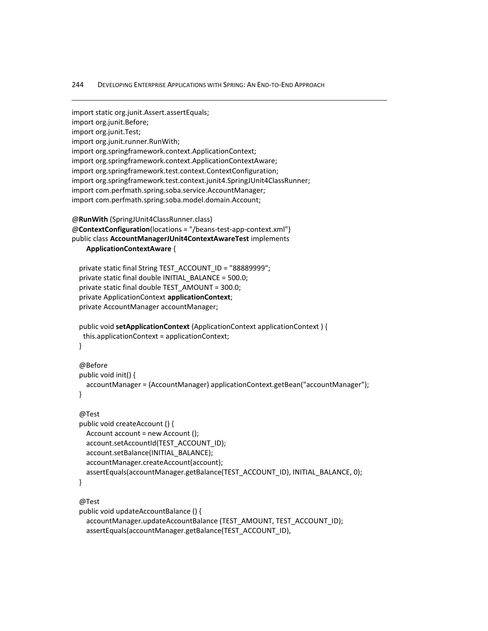```
import static org.junit.Assert.assertEquals;
import org.junit.Before;
import org.junit.Test;
import org.junit.runner.RunWith;
import org.springframework.context.ApplicationContext;
import org.springframework.context.ApplicationContextAware;
import org.springframework.test.context.ContextConfiguration;
import org.springframework.test.context.junit4.SpringJUnit4ClassRunner;
import com.perfmath.spring.soba.service.AccountManager;
import com.perfmath.spring.soba.model.domain.Account;
@RunWith (SpringJUnit4ClassRunner.class)
@ContextConfiguration(locations = "/beans-test-app-context.xml")
public class AccountManagerJUnit4ContextAwareTest implements
     ApplicationContextAware {
  private static final String TEST_ACCOUNT_ID = "88889999";
   private static final double INITIAL_BALANCE = 500.0;
   private static final double TEST_AMOUNT = 300.0;
   private ApplicationContext applicationContext;
   private AccountManager accountManager;
   public void setApplicationContext (ApplicationContext applicationContext ) {
    this.applicationContext = applicationContext;
  }
   @Before
   public void init() {
     accountManager = (AccountManager) applicationContext.getBean("accountManager");
  }
   @Test
   public void createAccount () {
     Account account = new Account ();
     account.setAccountId(TEST_ACCOUNT_ID);
     account.setBalance(INITIAL_BALANCE);
     accountManager.createAccount(account);
     assertEquals(accountManager.getBalance(TEST_ACCOUNT_ID), INITIAL_BALANCE, 0);
  }
   @Test
   public void updateAccountBalance () {
     accountManager.updateAccountBalance (TEST_AMOUNT, TEST_ACCOUNT_ID);
     assertEquals(accountManager.getBalance(TEST_ACCOUNT_ID),
```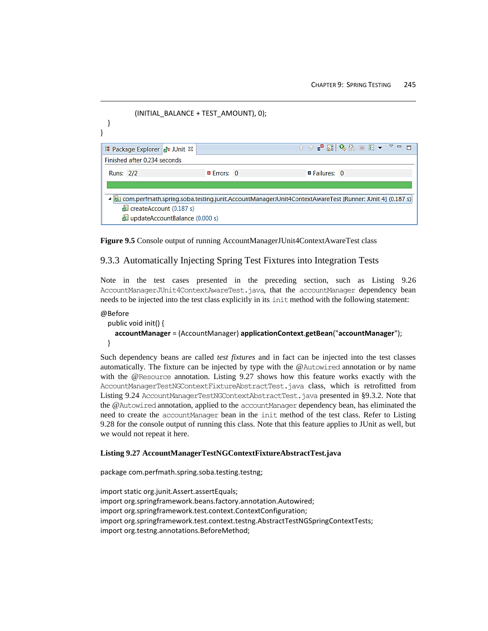

## **Figure 9.5** Console output of running AccountManagerJUnit4ContextAwareTest class

## 9.3.3 Automatically Injecting Spring Test Fixtures into Integration Tests

Note in the test cases presented in the preceding section, such as Listing 9.26 AccountManagerJUnit4ContextAwareTest.java, that the accountManager dependency bean needs to be injected into the test class explicitly in its init method with the following statement:

```
@Before
  public void init() {
     accountManager = (AccountManager) applicationContext.getBean("accountManager");
  }
```
Such dependency beans are called *test fixtures* and in fact can be injected into the test classes automatically. The fixture can be injected by type with the @Autowired annotation or by name with the @Resource annotation. Listing 9.27 shows how this feature works exactly with the AccountManagerTestNGContextFixtureAbstractTest.java class, which is retrofitted from Listing 9.24 AccountManagerTestNGContextAbstractTest.java presented in §9.3.2. Note that the @Autowired annotation, applied to the accountManager dependency bean, has eliminated the need to create the accountManager bean in the init method of the test class. Refer to Listing 9.28 for the console output of running this class. Note that this feature applies to JUnit as well, but we would not repeat it here.

#### **Listing 9.27 AccountManagerTestNGContextFixtureAbstractTest.java**

package com.perfmath.spring.soba.testing.testng;

```
import static org.junit.Assert.assertEquals;
import org.springframework.beans.factory.annotation.Autowired;
import org.springframework.test.context.ContextConfiguration;
import org.springframework.test.context.testng.AbstractTestNGSpringContextTests;
import org.testng.annotations.BeforeMethod;
```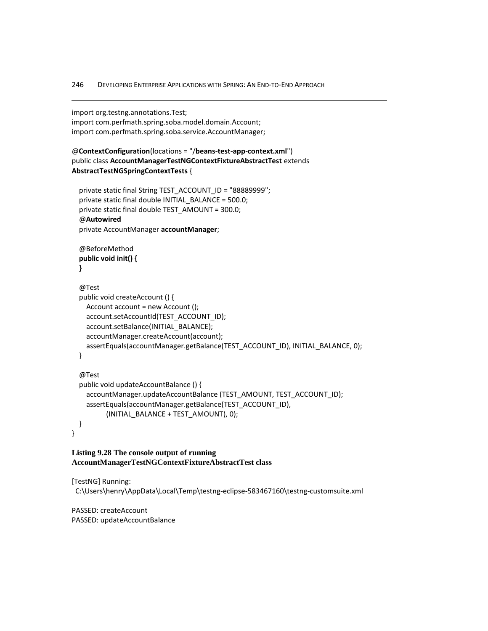import org.testng.annotations.Test; import com.perfmath.spring.soba.model.domain.Account; import com.perfmath.spring.soba.service.AccountManager;

```
@ContextConfiguration(locations = "/beans-test-app-context.xml")
public class AccountManagerTestNGContextFixtureAbstractTest extends 
AbstractTestNGSpringContextTests {
```

```
 private static final String TEST_ACCOUNT_ID = "88889999";
 private static final double INITIAL_BALANCE = 500.0;
 private static final double TEST_AMOUNT = 300.0;
 @Autowired
 private AccountManager accountManager;
 @BeforeMethod
 public void init() {
 }
 @Test
 public void createAccount () {
   Account account = new Account ();
   account.setAccountId(TEST_ACCOUNT_ID);
   account.setBalance(INITIAL_BALANCE);
   accountManager.createAccount(account);
   assertEquals(accountManager.getBalance(TEST_ACCOUNT_ID), INITIAL_BALANCE, 0);
 }
 @Test
 public void updateAccountBalance () {
```

```
 accountManager.updateAccountBalance (TEST_AMOUNT, TEST_ACCOUNT_ID);
   assertEquals(accountManager.getBalance(TEST_ACCOUNT_ID), 
        (INITIAL_BALANCE + TEST_AMOUNT), 0);
 }
```

```
}
```
## **Listing 9.28 The console output of running AccountManagerTestNGContextFixtureAbstractTest class**

[TestNG] Running: C:\Users\henry\AppData\Local\Temp\testng-eclipse-583467160\testng-customsuite.xml

PASSED: createAccount PASSED: updateAccountBalance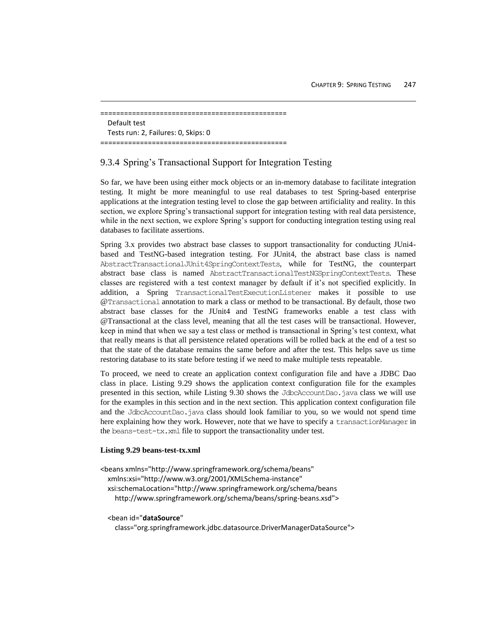Default test Tests run: 2, Failures: 0, Skips: 0 ===============================================

===============================================

## 9.3.4 Spring's Transactional Support for Integration Testing

So far, we have been using either mock objects or an in-memory database to facilitate integration testing. It might be more meaningful to use real databases to test Spring-based enterprise applications at the integration testing level to close the gap between artificiality and reality. In this section, we explore Spring's transactional support for integration testing with real data persistence, while in the next section, we explore Spring's support for conducting integration testing using real databases to facilitate assertions.

Spring 3.x provides two abstract base classes to support transactionality for conducting JUni4 based and TestNG-based integration testing. For JUnit4, the abstract base class is named AbstractTransactionalJUnit4SpringContextTests, while for TestNG, the counterpart abstract base class is named AbstractTransactionalTestNGSpringContextTests. These classes are registered with a test context manager by default if it's not specified explicitly. In addition, a Spring TransactionalTestExecutionListener makes it possible to use @Transactional annotation to mark a class or method to be transactional. By default, those two abstract base classes for the JUnit4 and TestNG frameworks enable a test class with @Transactional at the class level, meaning that all the test cases will be transactional. However, keep in mind that when we say a test class or method is transactional in Spring's test context, what that really means is that all persistence related operations will be rolled back at the end of a test so that the state of the database remains the same before and after the test. This helps save us time restoring database to its state before testing if we need to make multiple tests repeatable.

To proceed, we need to create an application context configuration file and have a JDBC Dao class in place. Listing 9.29 shows the application context configuration file for the examples presented in this section, while Listing 9.30 shows the JdbcAccountDao.java class we will use for the examples in this section and in the next section. This application context configuration file and the JdbcAccountDao.java class should look familiar to you, so we would not spend time here explaining how they work. However, note that we have to specify a transactionManager in the beans-test-tx.xml file to support the transactionality under test.

#### **Listing 9.29 beans-test-tx.xml**

```
<beans xmlns="http://www.springframework.org/schema/beans"
  xmlns:xsi="http://www.w3.org/2001/XMLSchema-instance"
  xsi:schemaLocation="http://www.springframework.org/schema/beans
     http://www.springframework.org/schema/beans/spring-beans.xsd">
```
<bean id="**dataSource**"

class="org.springframework.jdbc.datasource.DriverManagerDataSource">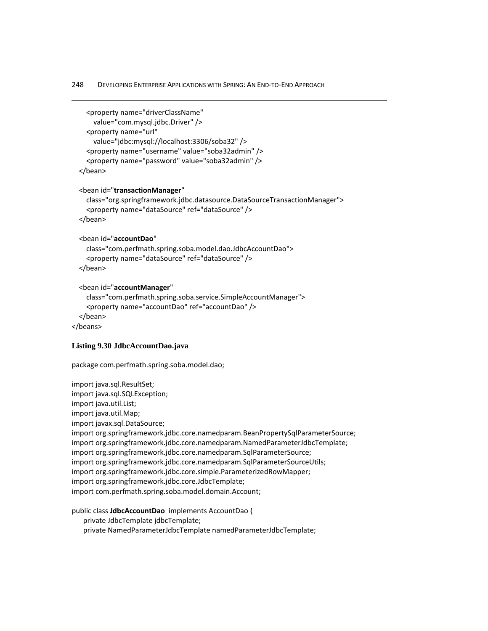```
 <property name="driverClassName"
     value="com.mysql.jdbc.Driver" />
   <property name="url"
     value="jdbc:mysql://localhost:3306/soba32" />
   <property name="username" value="soba32admin" />
   <property name="password" value="soba32admin" />
 </bean>
```
<bean id="**transactionManager**"

```
 class="org.springframework.jdbc.datasource.DataSourceTransactionManager">
   <property name="dataSource" ref="dataSource" />
 </bean>
```
<bean id="**accountDao**"

```
 class="com.perfmath.spring.soba.model.dao.JdbcAccountDao">
   <property name="dataSource" ref="dataSource" />
 </bean>
```
<bean id="**accountManager**"

```
 class="com.perfmath.spring.soba.service.SimpleAccountManager">
     <property name="accountDao" ref="accountDao" />
  </bean>
</beans>
```
## **Listing 9.30 JdbcAccountDao.java**

package com.perfmath.spring.soba.model.dao;

import java.sql.ResultSet; import java.sql.SQLException; import java.util.List; import java.util.Map; import javax.sql.DataSource; import org.springframework.jdbc.core.namedparam.BeanPropertySqlParameterSource; import org.springframework.jdbc.core.namedparam.NamedParameterJdbcTemplate; import org.springframework.jdbc.core.namedparam.SqlParameterSource; import org.springframework.jdbc.core.namedparam.SqlParameterSourceUtils; import org.springframework.jdbc.core.simple.ParameterizedRowMapper; import org.springframework.jdbc.core.JdbcTemplate; import com.perfmath.spring.soba.model.domain.Account;

public class **JdbcAccountDao** implements AccountDao { private JdbcTemplate jdbcTemplate; private NamedParameterJdbcTemplate namedParameterJdbcTemplate;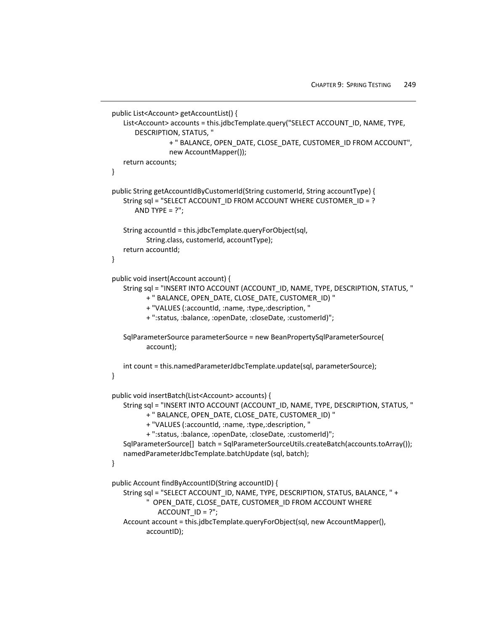```
public List<Account> getAccountList() {
   List<Account> accounts = this.jdbcTemplate.query("SELECT ACCOUNT_ID, NAME, TYPE,
      DESCRIPTION, STATUS, "
                + " BALANCE, OPEN_DATE, CLOSE_DATE, CUSTOMER_ID FROM ACCOUNT",
                new AccountMapper());
   return accounts;
}
public String getAccountIdByCustomerId(String customerId, String accountType) {
   String sql = "SELECT ACCOUNT_ID FROM ACCOUNT WHERE CUSTOMER_ID = ? 
      AND TYPE = ?";
   String accountId = this.jdbcTemplate.queryForObject(sql,
          String.class, customerId, accountType);
   return accountId;
}
public void insert(Account account) {
   String sql = "INSERT INTO ACCOUNT (ACCOUNT ID, NAME, TYPE, DESCRIPTION, STATUS, "
          + " BALANCE, OPEN_DATE, CLOSE_DATE, CUSTOMER_ID) "
          + "VALUES (:accountId, :name, :type,:description, "
          + ":status, :balance, :openDate, :closeDate, :customerId)";
   SqlParameterSource parameterSource = new BeanPropertySqlParameterSource(
          account);
   int count = this.namedParameterJdbcTemplate.update(sql, parameterSource);
}
public void insertBatch(List<Account> accounts) {
   String sql = "INSERT INTO ACCOUNT (ACCOUNT ID, NAME, TYPE, DESCRIPTION, STATUS, "
          + " BALANCE, OPEN_DATE, CLOSE_DATE, CUSTOMER_ID) "
          + "VALUES (:accountId, :name, :type,:description, "
          + ":status, :balance, :openDate, :closeDate, :customerId)";
   SqlParameterSource[] batch = SqlParameterSourceUtils.createBatch(accounts.toArray());
   namedParameterJdbcTemplate.batchUpdate (sql, batch);
}
public Account findByAccountID(String accountID) {
   String sql = "SELECT ACCOUNT_ID, NAME, TYPE, DESCRIPTION, STATUS, BALANCE, " +
          " OPEN_DATE, CLOSE_DATE, CUSTOMER_ID FROM ACCOUNT WHERE 
             ACCOUNT ID = ?";
   Account account = this.jdbcTemplate.queryForObject(sql, new AccountMapper(), 
          accountID);
```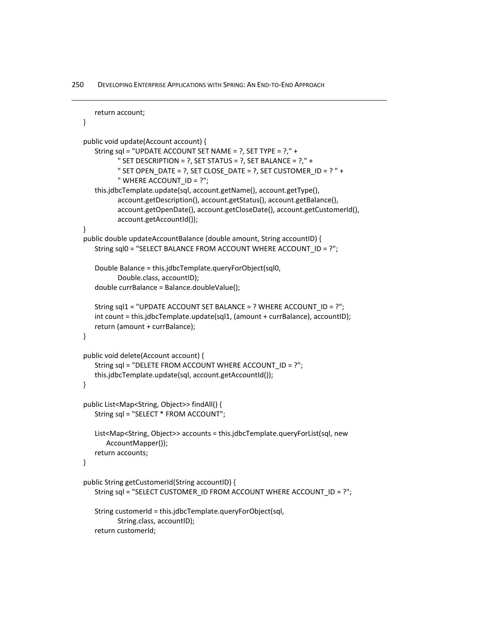```
return account;
}
public void update(Account account) {
   String sql = "UPDATE ACCOUNT SET NAME = ?, SET TYPE = ?," +
          " SET DESCRIPTION = ?, SET STATUS = ?, SET BALANCE = ?," +
          " SET OPEN_DATE = ?, SET CLOSE_DATE = ?, SET CUSTOMER_ID = ? " +
          " WHERE ACCOUNT_ID = ?";
   this.jdbcTemplate.update(sql, account.getName(), account.getType(), 
          account.getDescription(), account.getStatus(), account.getBalance(),
          account.getOpenDate(), account.getCloseDate(), account.getCustomerId(),
          account.getAccountId());
}
public double updateAccountBalance (double amount, String accountID) {
   String sql0 = "SELECT BALANCE FROM ACCOUNT WHERE ACCOUNT ID = ?";
   Double Balance = this.jdbcTemplate.queryForObject(sql0,
          Double.class, accountID);
   double currBalance = Balance.doubleValue();
   String sql1 = "UPDATE ACCOUNT SET BALANCE = ? WHERE ACCOUNT_ID = ?";
   int count = this.jdbcTemplate.update(sql1, (amount + currBalance), accountID);
   return (amount + currBalance);
}
public void delete(Account account) {
   String sql = "DELETE FROM ACCOUNT WHERE ACCOUNT_ID = ?";
   this.jdbcTemplate.update(sql, account.getAccountId());
}
public List<Map<String, Object>> findAll() {
   String sql = "SELECT * FROM ACCOUNT";
   List<Map<String, Object>> accounts = this.jdbcTemplate.queryForList(sql, new 
       AccountMapper());
   return accounts;
}
public String getCustomerId(String accountID) {
   String sql = "SELECT CUSTOMER ID FROM ACCOUNT WHERE ACCOUNT ID = ?";
   String customerId = this.jdbcTemplate.queryForObject(sql,
          String.class, accountID);
   return customerId;
```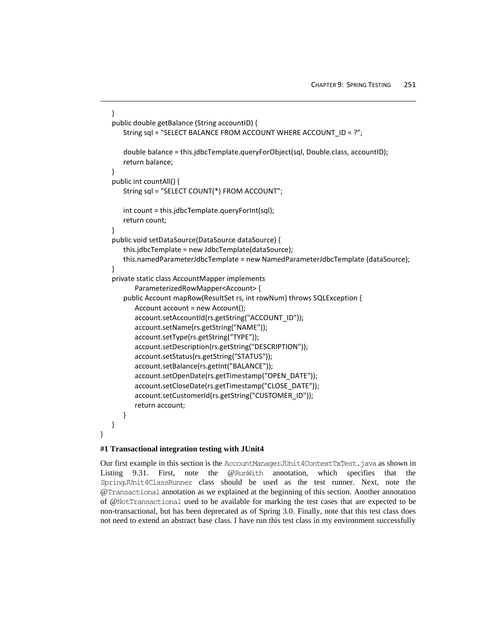```
}
public double getBalance (String accountID) {
   String sql = "SELECT BALANCE FROM ACCOUNT WHERE ACCOUNT_ID = ?";
   double balance = this.jdbcTemplate.queryForObject(sql, Double.class, accountID);
   return balance;
}
public int countAll() {
   String sql = "SELECT COUNT(*) FROM ACCOUNT";
   int count = this.jdbcTemplate.queryForInt(sql);
   return count;
}
public void setDataSource(DataSource dataSource) {
   this.jdbcTemplate = new JdbcTemplate(dataSource);
   this.namedParameterJdbcTemplate = new NamedParameterJdbcTemplate (dataSource);
}
private static class AccountMapper implements
       ParameterizedRowMapper<Account> {
   public Account mapRow(ResultSet rs, int rowNum) throws SQLException {
      Account account = new Account();
       account.setAccountId(rs.getString("ACCOUNT_ID"));
       account.setName(rs.getString("NAME"));
       account.setType(rs.getString("TYPE"));
       account.setDescription(rs.getString("DESCRIPTION"));
       account.setStatus(rs.getString("STATUS"));
       account.setBalance(rs.getInt("BALANCE"));
       account.setOpenDate(rs.getTimestamp("OPEN_DATE"));
       account.setCloseDate(rs.getTimestamp("CLOSE_DATE"));
       account.setCustomerId(rs.getString("CUSTOMER_ID"));
       return account;
   }
}
```
#### **#1 Transactional integration testing with JUnit4**

}

Our first example in this section is the AccountManagerJUnit4ContextTxTest.java as shown in Listing 9.31. First, note the @RunWith annotation, which specifies that the SpringJUnit4ClassRunner class should be used as the test runner. Next, note the @Transactional annotation as we explained at the beginning of this section. Another annotation of @NotTransactional used to be available for marking the test cases that are expected to be non-transactional, but has been deprecated as of Spring 3.0. Finally, note that this test class does not need to extend an abstract base class. I have run this test class in my environment successfully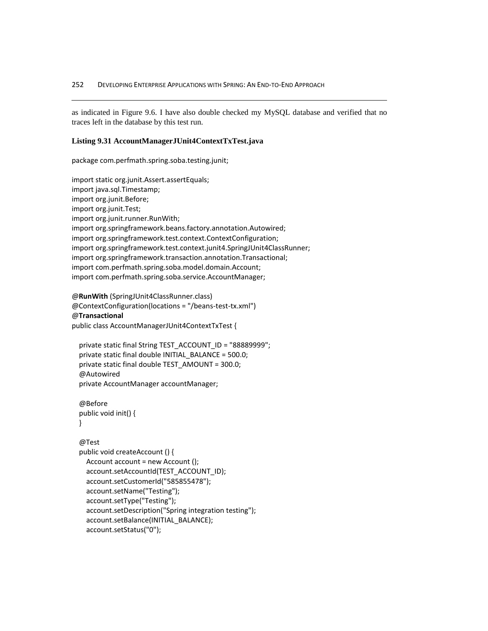as indicated in Figure 9.6. I have also double checked my MySQL database and verified that no traces left in the database by this test run.

#### **Listing 9.31 AccountManagerJUnit4ContextTxTest.java**

package com.perfmath.spring.soba.testing.junit;

import static org.junit.Assert.assertEquals; import java.sql.Timestamp; import org.junit.Before; import org.junit.Test; import org.junit.runner.RunWith; import org.springframework.beans.factory.annotation.Autowired; import org.springframework.test.context.ContextConfiguration; import org.springframework.test.context.junit4.SpringJUnit4ClassRunner; import org.springframework.transaction.annotation.Transactional; import com.perfmath.spring.soba.model.domain.Account; import com.perfmath.spring.soba.service.AccountManager;

```
@RunWith (SpringJUnit4ClassRunner.class)
@ContextConfiguration(locations = "/beans-test-tx.xml")
@Transactional
public class AccountManagerJUnit4ContextTxTest {
```

```
 private static final String TEST_ACCOUNT_ID = "88889999";
 private static final double INITIAL_BALANCE = 500.0;
 private static final double TEST_AMOUNT = 300.0;
 @Autowired
 private AccountManager accountManager;
```

```
 @Before
 public void init() {
 }
```

```
 @Test
```

```
 public void createAccount () {
   Account account = new Account ();
   account.setAccountId(TEST_ACCOUNT_ID);
   account.setCustomerId("585855478");
   account.setName("Testing");
   account.setType("Testing");
   account.setDescription("Spring integration testing");
   account.setBalance(INITIAL_BALANCE);
   account.setStatus("0");
```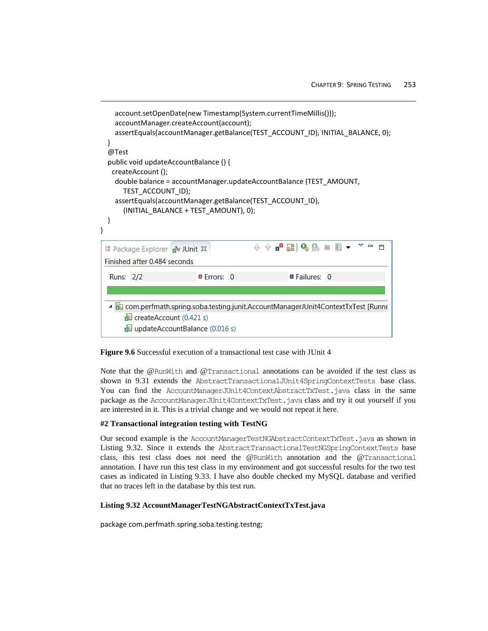| accountManager.createAccount(account);                                        | account.setOpenDate(new Timestamp(System.currentTimeMillis()));                                             |  |  |  |  |  |  |  |
|-------------------------------------------------------------------------------|-------------------------------------------------------------------------------------------------------------|--|--|--|--|--|--|--|
| assertEquals(accountManager.getBalance(TEST_ACCOUNT_ID), INITIAL_BALANCE, 0); |                                                                                                             |  |  |  |  |  |  |  |
|                                                                               |                                                                                                             |  |  |  |  |  |  |  |
| @Test                                                                         |                                                                                                             |  |  |  |  |  |  |  |
| public void updateAccountBalance () {                                         |                                                                                                             |  |  |  |  |  |  |  |
| createAccount ();                                                             |                                                                                                             |  |  |  |  |  |  |  |
|                                                                               | double balance = accountManager.updateAccountBalance (TEST_AMOUNT,                                          |  |  |  |  |  |  |  |
| TEST_ACCOUNT_ID);                                                             |                                                                                                             |  |  |  |  |  |  |  |
| assertEquals(accountManager.getBalance(TEST ACCOUNT ID),                      |                                                                                                             |  |  |  |  |  |  |  |
| (INITIAL BALANCE + TEST AMOUNT), 0);                                          |                                                                                                             |  |  |  |  |  |  |  |
| }                                                                             |                                                                                                             |  |  |  |  |  |  |  |
|                                                                               |                                                                                                             |  |  |  |  |  |  |  |
| # Package Explorer du JUnit ⊠                                                 | $+$ $+$ $\bullet$ $\blacksquare$ $\blacksquare$ $\blacksquare$ $\blacksquare$ $\blacksquare$ $\blacksquare$ |  |  |  |  |  |  |  |
| Finished after 0.484 seconds                                                  |                                                                                                             |  |  |  |  |  |  |  |
| <b>B</b> Errors: 0<br>Runs: 2/2                                               | ■ Failures: 0                                                                                               |  |  |  |  |  |  |  |
|                                                                               |                                                                                                             |  |  |  |  |  |  |  |
|                                                                               | △ bu com.perfmath.spring.soba.testing.junit.AccountManagerJUnit4ContextTxTest [Runne                        |  |  |  |  |  |  |  |
| He createAccount (0.421 s)                                                    |                                                                                                             |  |  |  |  |  |  |  |
| updateAccountBalance (0.016 s)                                                |                                                                                                             |  |  |  |  |  |  |  |

#### **Figure 9.6** Successful execution of a transactional test case with JUnit 4

Note that the @RunWith and @Transactional annotations can be avoided if the test class as shown in 9.31 extends the AbstractTransactionalJUnit4SpringContextTests base class. You can find the AccountManagerJUnit4ContextAbstractTxTest.java class in the same package as the AccountManagerJUnit4ContextTxTest.java class and try it out yourself if you are interested in it. This is a trivial change and we would not repeat it here.

#### **#2 Transactional integration testing with TestNG**

Our second example is the AccountManagerTestNGAbstractContextTxTest.java as shown in Listing 9.32. Since it extends the AbstractTransactionalTestNGSpringContextTests base class, this test class does not need the @RunWith annotation and the @Transactional annotation. I have run this test class in my environment and got successful results for the two test cases as indicated in Listing 9.33. I have also double checked my MySQL database and verified that no traces left in the database by this test run.

## **Listing 9.32 AccountManagerTestNGAbstractContextTxTest.java**

package com.perfmath.spring.soba.testing.testng;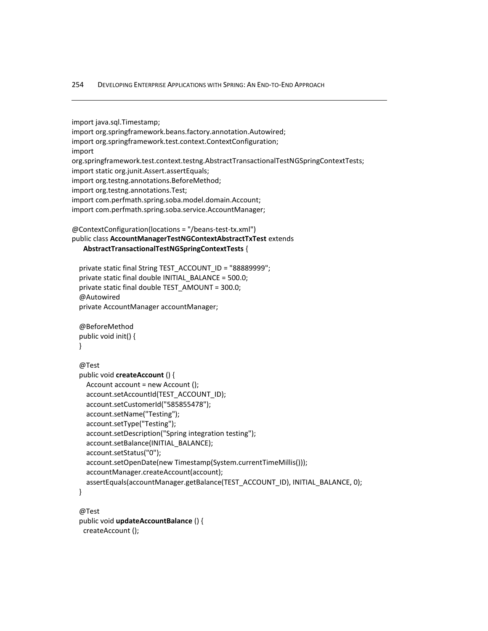```
import java.sql.Timestamp;
import org.springframework.beans.factory.annotation.Autowired;
import org.springframework.test.context.ContextConfiguration;
import 
org.springframework.test.context.testng.AbstractTransactionalTestNGSpringContextTests;
import static org.junit.Assert.assertEquals;
import org.testng.annotations.BeforeMethod;
import org.testng.annotations.Test;
import com.perfmath.spring.soba.model.domain.Account;
import com.perfmath.spring.soba.service.AccountManager;
@ContextConfiguration(locations = "/beans-test-tx.xml")
public class AccountManagerTestNGContextAbstractTxTest extends 
   AbstractTransactionalTestNGSpringContextTests {
  private static final String TEST_ACCOUNT_ID = "88889999";
   private static final double INITIAL_BALANCE = 500.0;
   private static final double TEST_AMOUNT = 300.0;
   @Autowired
   private AccountManager accountManager;
   @BeforeMethod
   public void init() { 
  }
   @Test
   public void createAccount () {
     Account account = new Account ();
     account.setAccountId(TEST_ACCOUNT_ID);
     account.setCustomerId("585855478");
     account.setName("Testing");
     account.setType("Testing");
     account.setDescription("Spring integration testing");
     account.setBalance(INITIAL_BALANCE);
     account.setStatus("0");
     account.setOpenDate(new Timestamp(System.currentTimeMillis()));
     accountManager.createAccount(account);
     assertEquals(accountManager.getBalance(TEST_ACCOUNT_ID), INITIAL_BALANCE, 0);
  }
```
 @Test public void **updateAccountBalance** () { createAccount ();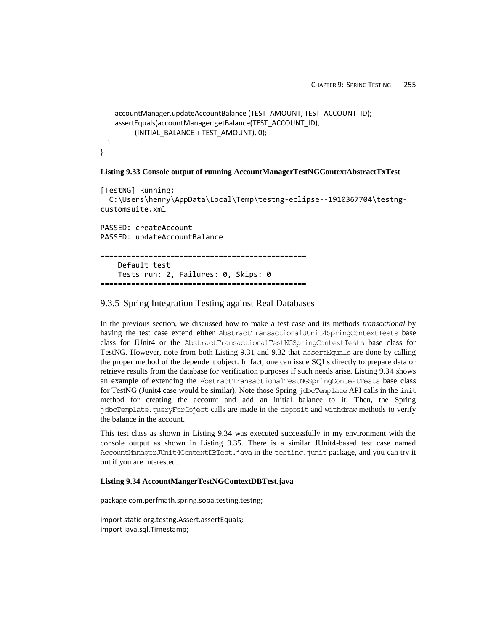```
 accountManager.updateAccountBalance (TEST_AMOUNT, TEST_ACCOUNT_ID);
   assertEquals(accountManager.getBalance(TEST_ACCOUNT_ID), 
        (INITIAL_BALANCE + TEST_AMOUNT), 0);
 }
```
#### **Listing 9.33 Console output of running AccountManagerTestNGContextAbstractTxTest**

```
[TestNG] Running:
  C:\Users\henry\AppData\Local\Temp\testng-eclipse--1910367704\testng-
customsuite.xml
PASSED: createAccount
PASSED: updateAccountBalance
===============================================
    Default test
    Tests run: 2, Failures: 0, Skips: 0
```
## ===============================================

}

## 9.3.5 Spring Integration Testing against Real Databases

In the previous section, we discussed how to make a test case and its methods *transactional* by having the test case extend either AbstractTransactionalJUnit4SpringContextTests base class for JUnit4 or the AbstractTransactionalTestNGSpringContextTests base class for TestNG. However, note from both Listing 9.31 and 9.32 that assertEquals are done by calling the proper method of the dependent object. In fact, one can issue SQLs directly to prepare data or retrieve results from the database for verification purposes if such needs arise. Listing 9.34 shows an example of extending the AbstractTransactionalTestNGSpringContextTests base class for TestNG (Junit4 case would be similar). Note those Spring jdbcTemplate API calls in the init method for creating the account and add an initial balance to it. Then, the Spring jdbcTemplate.queryForObject calls are made in the deposit and withdraw methods to verify the balance in the account.

This test class as shown in Listing 9.34 was executed successfully in my environment with the console output as shown in Listing 9.35. There is a similar JUnit4-based test case named AccountManagerJUnit4ContextDBTest.java in the testing.junit package, and you can try it out if you are interested.

#### **Listing 9.34 AccountMangerTestNGContextDBTest.java**

package com.perfmath.spring.soba.testing.testng;

import static org.testng.Assert.assertEquals; import java.sql.Timestamp;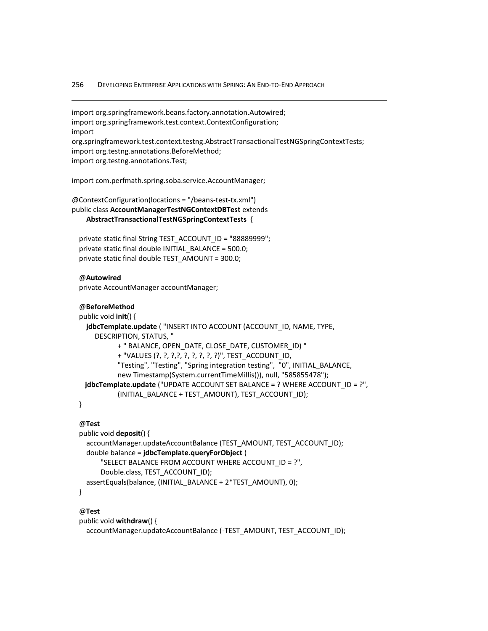import org.springframework.beans.factory.annotation.Autowired; import org.springframework.test.context.ContextConfiguration; import org.springframework.test.context.testng.AbstractTransactionalTestNGSpringContextTests; import org.testng.annotations.BeforeMethod; import org.testng.annotations.Test; import com.perfmath.spring.soba.service.AccountManager; @ContextConfiguration(locations = "/beans-test-tx.xml") public class **AccountManagerTestNGContextDBTest** extends **AbstractTransactionalTestNGSpringContextTests** { private static final String TEST\_ACCOUNT\_ID = "88889999"; private static final double INITIAL\_BALANCE = 500.0; private static final double TEST\_AMOUNT = 300.0; @**Autowired** private AccountManager accountManager; @**BeforeMethod** public void **init**() { **jdbcTemplate**.**update** ( "INSERT INTO ACCOUNT (ACCOUNT\_ID, NAME, TYPE, DESCRIPTION, STATUS, " + " BALANCE, OPEN\_DATE, CLOSE\_DATE, CUSTOMER\_ID) " + "VALUES (?, ?, ?,?, ?, ?, ?, ?, ?)", TEST\_ACCOUNT\_ID, "Testing", "Testing", "Spring integration testing", "0", INITIAL\_BALANCE,

}

#### @**Test**

```
 public void deposit() {
   accountManager.updateAccountBalance (TEST_AMOUNT, TEST_ACCOUNT_ID);
   double balance = jdbcTemplate.queryForObject (
       "SELECT BALANCE FROM ACCOUNT WHERE ACCOUNT_ID = ?",
       Double.class, TEST_ACCOUNT_ID);
   assertEquals(balance, (INITIAL_BALANCE + 2*TEST_AMOUNT), 0);
 }
```
new Timestamp(System.currentTimeMillis()), null, "585855478"); **jdbcTemplate**.**update** ("UPDATE ACCOUNT SET BALANCE = ? WHERE ACCOUNT\_ID = ?",

(INITIAL\_BALANCE + TEST\_AMOUNT), TEST\_ACCOUNT\_ID);

## @**Test**

```
 public void withdraw() {
   accountManager.updateAccountBalance (-TEST_AMOUNT, TEST_ACCOUNT_ID);
```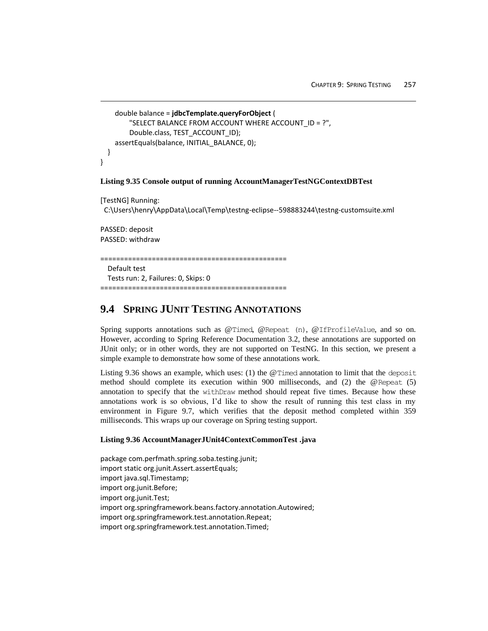```
 double balance = jdbcTemplate.queryForObject (
         "SELECT BALANCE FROM ACCOUNT WHERE ACCOUNT_ID = ?",
         Double.class, TEST_ACCOUNT_ID);
     assertEquals(balance, INITIAL_BALANCE, 0);
   }
}
```
#### **Listing 9.35 Console output of running AccountManagerTestNGContextDBTest**

[TestNG] Running: C:\Users\henry\AppData\Local\Temp\testng-eclipse--598883244\testng-customsuite.xml

PASSED: deposit PASSED: withdraw

===============================================

 Default test Tests run: 2, Failures: 0, Skips: 0 ===============================================

# **9.4 SPRING JUNIT TESTING ANNOTATIONS**

Spring supports annotations such as @Timed, @Repeat (n), @IfProfileValue, and so on. However, according to Spring Reference Documentation 3.2, these annotations are supported on JUnit only; or in other words, they are not supported on TestNG. In this section, we present a simple example to demonstrate how some of these annotations work.

Listing 9.36 shows an example, which uses: (1) the @Timed annotation to limit that the deposit method should complete its execution within 900 milliseconds, and  $(2)$  the @Repeat  $(5)$ annotation to specify that the withDraw method should repeat five times. Because how these annotations work is so obvious, I'd like to show the result of running this test class in my environment in Figure 9.7, which verifies that the deposit method completed within 359 milliseconds. This wraps up our coverage on Spring testing support.

#### **Listing 9.36 AccountManagerJUnit4ContextCommonTest .java**

package com.perfmath.spring.soba.testing.junit; import static org.junit.Assert.assertEquals; import java.sql.Timestamp; import org.junit.Before; import org.junit.Test; import org.springframework.beans.factory.annotation.Autowired; import org.springframework.test.annotation.Repeat; import org.springframework.test.annotation.Timed;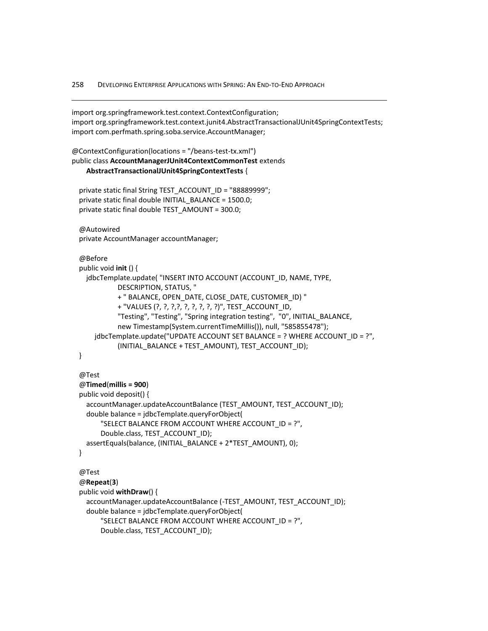```
import org.springframework.test.context.ContextConfiguration;
import org.springframework.test.context.junit4.AbstractTransactionalJUnit4SpringContextTests;
import com.perfmath.spring.soba.service.AccountManager;
@ContextConfiguration(locations = "/beans-test-tx.xml")
public class AccountManagerJUnit4ContextCommonTest extends
     AbstractTransactionalJUnit4SpringContextTests {
   private static final String TEST_ACCOUNT_ID = "88889999";
  private static final double INITIAL_BALANCE = 1500.0;
  private static final double TEST_AMOUNT = 300.0;
   @Autowired
  private AccountManager accountManager;
   @Before
  public void init () {
    jdbcTemplate.update( "INSERT INTO ACCOUNT (ACCOUNT_ID, NAME, TYPE, 
             DESCRIPTION, STATUS, "
             + " BALANCE, OPEN_DATE, CLOSE_DATE, CUSTOMER_ID) "
             + "VALUES (?, ?, ?,?, ?, ?, ?, ?, ?)", TEST_ACCOUNT_ID, 
             "Testing", "Testing", "Spring integration testing", "0", INITIAL_BALANCE,
             new Timestamp(System.currentTimeMillis()), null, "585855478");
      jdbcTemplate.update("UPDATE ACCOUNT SET BALANCE = ? WHERE ACCOUNT_ID = ?", 
             (INITIAL_BALANCE + TEST_AMOUNT), TEST_ACCOUNT_ID);
  }
   @Test
   @Timed(millis = 900)
  public void deposit() {
     accountManager.updateAccountBalance (TEST_AMOUNT, TEST_ACCOUNT_ID);
     double balance = jdbcTemplate.queryForObject(
         "SELECT BALANCE FROM ACCOUNT WHERE ACCOUNT_ID = ?",
         Double.class, TEST_ACCOUNT_ID);
    assertEquals(balance, (INITIAL_BALANCE + 2*TEST_AMOUNT), 0);
  }
   @Test
   @Repeat(3)
  public void withDraw() {
     accountManager.updateAccountBalance (-TEST_AMOUNT, TEST_ACCOUNT_ID);
     double balance = jdbcTemplate.queryForObject(
         "SELECT BALANCE FROM ACCOUNT WHERE ACCOUNT_ID = ?",
         Double.class, TEST_ACCOUNT_ID);
```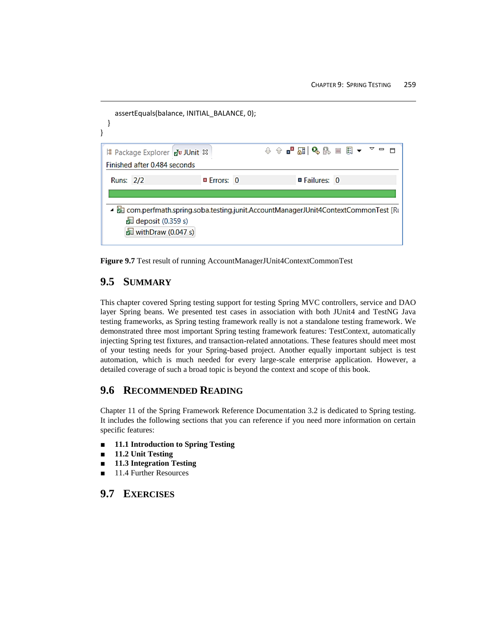|           | assertEquals(balance, INITIAL BALANCE, 0);                                                                                                 |                   |                                                                                                                                                                                  |  |             |
|-----------|--------------------------------------------------------------------------------------------------------------------------------------------|-------------------|----------------------------------------------------------------------------------------------------------------------------------------------------------------------------------|--|-------------|
|           | # Package Explorer dv JUnit &                                                                                                              |                   | $\rightarrow$ $\rightarrow$ $\blacksquare$ $\blacksquare$ $\blacksquare$ $\blacksquare$ $\blacktriangleright$ $\blacksquare$ $\blacksquare$ $\blacktriangleright$ $\blacksquare$ |  | $\sim$ $ -$ |
|           | Finished after 0.484 seconds                                                                                                               |                   |                                                                                                                                                                                  |  |             |
| Runs: 2/2 |                                                                                                                                            | <b>Exercis: 0</b> | <b>■ Failures: 0</b>                                                                                                                                                             |  |             |
|           |                                                                                                                                            |                   |                                                                                                                                                                                  |  |             |
|           | ▲ 龅 com.perfmath.spring.soba.testing.junit.AccountManagerJUnit4ContextCommonTest [Ru<br>$\equiv$ deposit (0.359 s)<br>withDraw $(0.047 s)$ |                   |                                                                                                                                                                                  |  |             |

**Figure 9.7** Test result of running AccountManagerJUnit4ContextCommonTest

# **9.5 SUMMARY**

This chapter covered Spring testing support for testing Spring MVC controllers, service and DAO layer Spring beans. We presented test cases in association with both JUnit4 and TestNG Java testing frameworks, as Spring testing framework really is not a standalone testing framework. We demonstrated three most important Spring testing framework features: TestContext, automatically injecting Spring test fixtures, and transaction-related annotations. These features should meet most of your testing needs for your Spring-based project. Another equally important subject is test automation, which is much needed for every large-scale enterprise application. However, a detailed coverage of such a broad topic is beyond the context and scope of this book.

# **9.6 RECOMMENDED READING**

Chapter 11 of the Spring Framework Reference Documentation 3.2 is dedicated to Spring testing. It includes the following sections that you can reference if you need more information on certain specific features:

- **11.1 Introduction to Spring Testing**
- **11.2 Unit Testing**
- **11.3 Integration Testing**
- 11.4 Further Resources

# **9.7 EXERCISES**